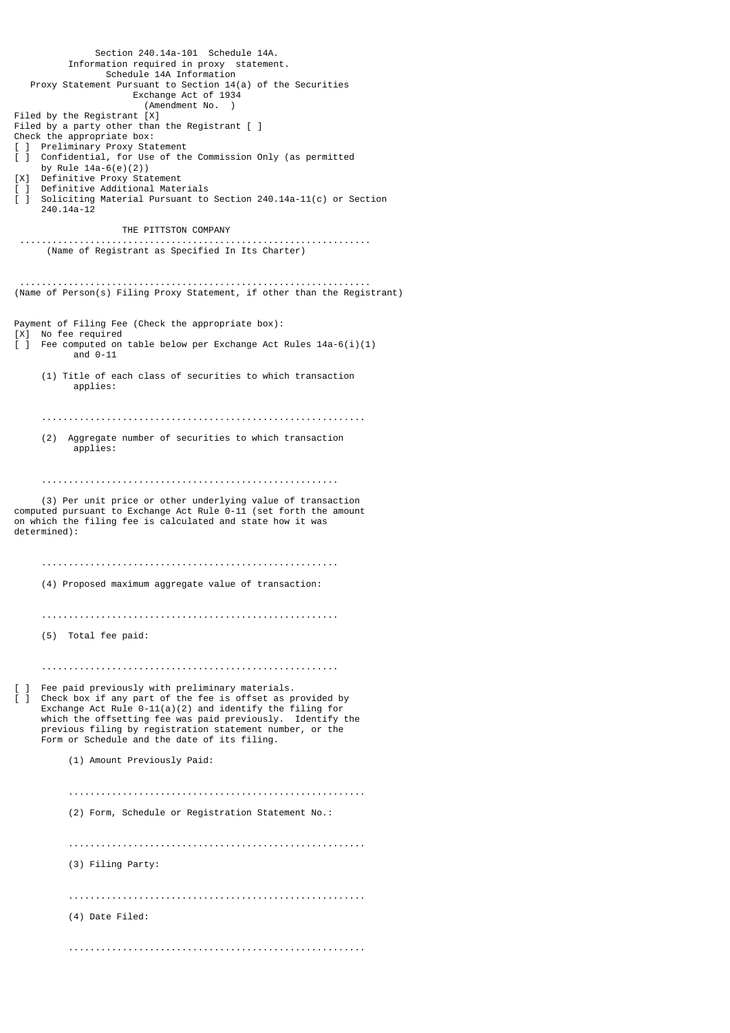Section 240.14a-101 Schedule 14A. Information required in proxy statement. Schedule 14A Information Proxy Statement Pursuant to Section 14(a) of the Securities Exchange Act of 1934 (Amendment No. ) Filed by the Registrant [X] Filed by a party other than the Registrant [ ] Check the appropriate box: [ ] Preliminary Proxy Statement [ ] Confidential, for Use of the Commission Only (as permitted by Rule  $14a-6(e)(2)$ <br>[X] Definitive Proxy Sta Definitive Proxy Statement Definitive Additional Materials [ ] Soliciting Material Pursuant to Section 240.14a-11(c) or Section 240.14a-12 THE PITTSTON COMPANY ................................................................. (Name of Registrant as Specified In Its Charter) ................................................................. (Name of Person(s) Filing Proxy Statement, if other than the Registrant) Payment of Filing Fee (Check the appropriate box): [X] No fee required  $\begin{bmatrix} 1 \end{bmatrix}$  Fee computed on table below per Exchange Act Rules 14a-6(i)(1) and  $0-11$  (1) Title of each class of securities to which transaction applies: ............................................................ (2) Aggregate number of securities to which transaction applies: ....................................................... (3) Per unit price or other underlying value of transaction computed pursuant to Exchange Act Rule 0-11 (set forth the amount on which the filing fee is calculated and state how it was determined): ....................................................... (4) Proposed maximum aggregate value of transaction: ....................................................... (5) Total fee paid: ....................................................... [ ] Fee paid previously with preliminary materials. [ ] Check box if any part of the fee is offset as provided by Exchange Act Rule  $0-11(a)(2)$  and identify the filing for which the offsetting fee was paid previously. Identify the previous filing by registration statement number, or the Form or Schedule and the date of its filing. (1) Amount Previously Paid: ....................................................... (2) Form, Schedule or Registration Statement No.: ....................................................... (3) Filing Party: ....................................................... (4) Date Filed: .......................................................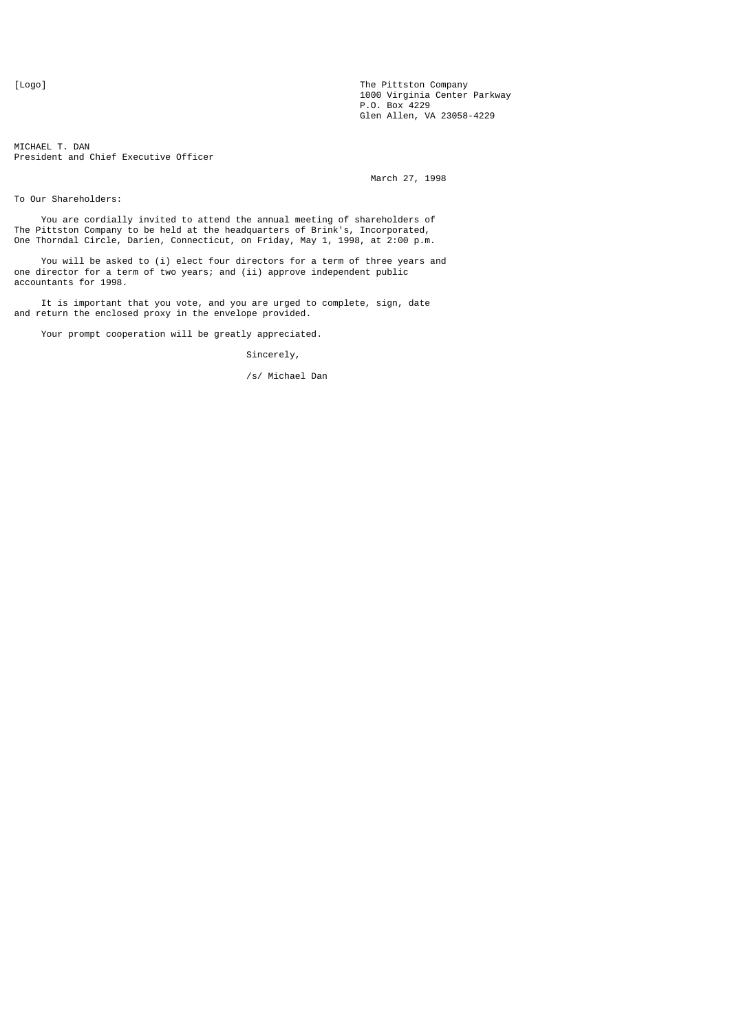$[Logo]$ 

The Pittston Company 1000 Virginia Center Parkway P.O. Box 4229 Glen Allen, VA 23058-4229

MICHAEL T. DAN President and Chief Executive Officer

March 27, 1998

To Our Shareholders:

 You are cordially invited to attend the annual meeting of shareholders of The Pittston Company to be held at the headquarters of Brink's, Incorporated, One Thorndal Circle, Darien, Connecticut, on Friday, May 1, 1998, at 2:00 p.m.

You will be asked to (i) elect four directors for a term of three years and one director for a term of two years; and (ii) approve independent public accountants for 1998.

 It is important that you vote, and you are urged to complete, sign, date and return the enclosed proxy in the envelope provided.

Your prompt cooperation will be greatly appreciated.

Sincerely,

/s/ Michael Dan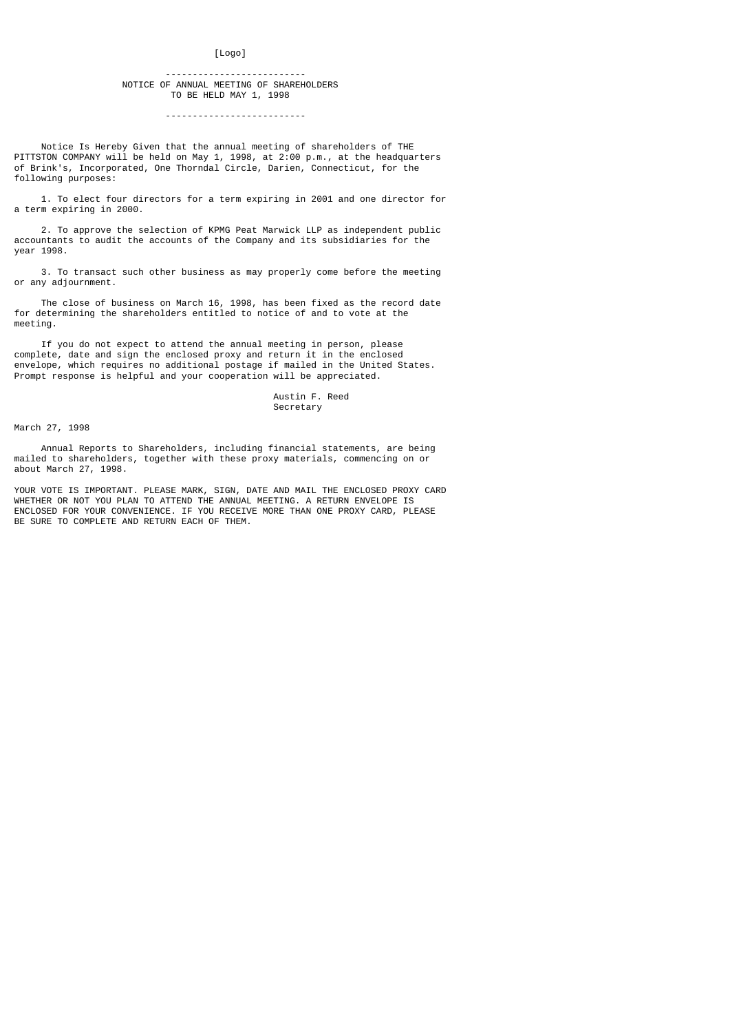#### [Logo]

#### -------------------------- NOTICE OF ANNUAL MEETING OF SHAREHOLDERS TO BE HELD MAY 1, 1998

## --------------------------

 Notice Is Hereby Given that the annual meeting of shareholders of THE PITTSTON COMPANY will be held on May 1, 1998, at 2:00 p.m., at the headquarters of Brink's, Incorporated, One Thorndal Circle, Darien, Connecticut, for the following purposes:

 1. To elect four directors for a term expiring in 2001 and one director for a term expiring in 2000.

 2. To approve the selection of KPMG Peat Marwick LLP as independent public accountants to audit the accounts of the Company and its subsidiaries for the year 1998.

 3. To transact such other business as may properly come before the meeting or any adjournment.

 The close of business on March 16, 1998, has been fixed as the record date for determining the shareholders entitled to notice of and to vote at the meeting.

 If you do not expect to attend the annual meeting in person, please complete, date and sign the enclosed proxy and return it in the enclosed envelope, which requires no additional postage if mailed in the United States. Prompt response is helpful and your cooperation will be appreciated.

### Austin F. Reed Secretary

# March 27, 1998

 Annual Reports to Shareholders, including financial statements, are being mailed to shareholders, together with these proxy materials, commencing on or about March 27, 1998.

YOUR VOTE IS IMPORTANT. PLEASE MARK, SIGN, DATE AND MAIL THE ENCLOSED PROXY CARD WHETHER OR NOT YOU PLAN TO ATTEND THE ANNUAL MEETING. A RETURN ENVELOPE IS ENCLOSED FOR YOUR CONVENIENCE. IF YOU RECEIVE MORE THAN ONE PROXY CARD, PLEASE BE SURE TO COMPLETE AND RETURN EACH OF THEM.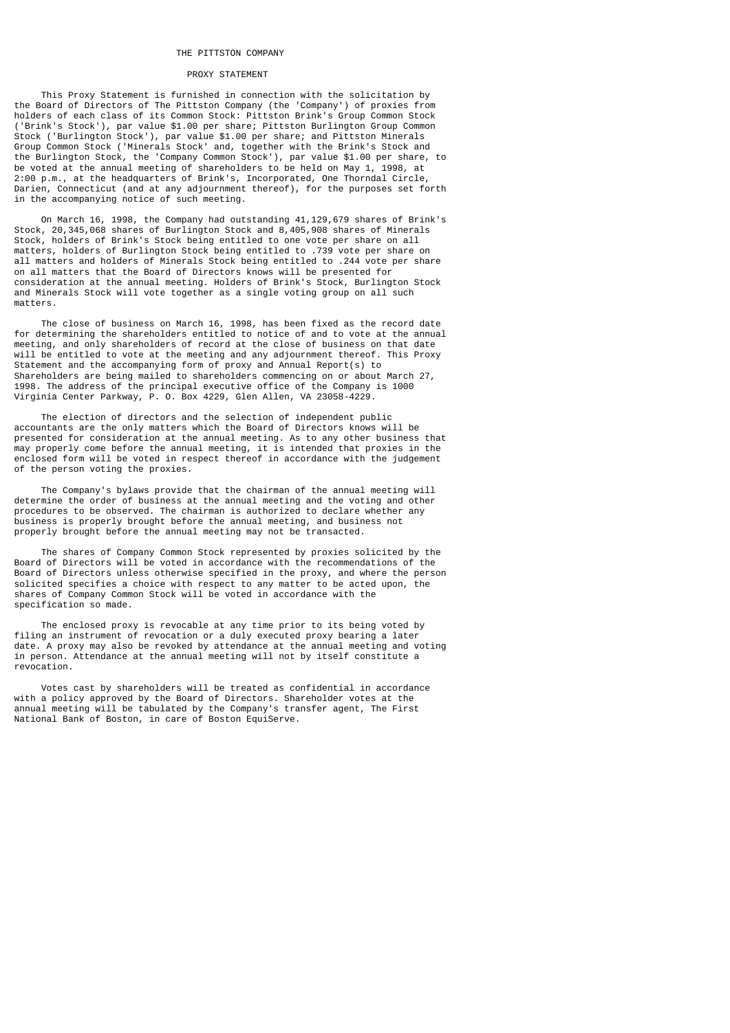## THE PITTSTON COMPANY

## PROXY STATEMENT

 This Proxy Statement is furnished in connection with the solicitation by the Board of Directors of The Pittston Company (the 'Company') of proxies from holders of each class of its Common Stock: Pittston Brink's Group Common Stock ('Brink's Stock'), par value \$1.00 per share; Pittston Burlington Group Common Stock ('Burlington Stock'), par value \$1.00 per share; and Pittston Minerals Group Common Stock ('Minerals Stock' and, together with the Brink's Stock and the Burlington Stock, the 'Company Common Stock'), par value \$1.00 per share, to be voted at the annual meeting of shareholders to be held on May 1, 1998, at 2:00 p.m., at the headquarters of Brink's, Incorporated, One Thorndal Circle, Darien, Connecticut (and at any adjournment thereof), for the purposes set forth in the accompanying notice of such meeting.

 On March 16, 1998, the Company had outstanding 41,129,679 shares of Brink's Stock, 20,345,068 shares of Burlington Stock and 8,405,908 shares of Minerals Stock, holders of Brink's Stock being entitled to one vote per share on all matters, holders of Burlington Stock being entitled to .739 vote per share on all matters and holders of Minerals Stock being entitled to .244 vote per share on all matters that the Board of Directors knows will be presented for consideration at the annual meeting. Holders of Brink's Stock, Burlington Stock and Minerals Stock will vote together as a single voting group on all such matters.

 The close of business on March 16, 1998, has been fixed as the record date for determining the shareholders entitled to notice of and to vote at the annual meeting, and only shareholders of record at the close of business on that date will be entitled to vote at the meeting and any adjournment thereof. This Proxy Statement and the accompanying form of proxy and Annual Report(s) to Shareholders are being mailed to shareholders commencing on or about March 27, 1998. The address of the principal executive office of the Company is 1000 Virginia Center Parkway, P. O. Box 4229, Glen Allen, VA 23058-4229.

 The election of directors and the selection of independent public accountants are the only matters which the Board of Directors knows will be presented for consideration at the annual meeting. As to any other business that may properly come before the annual meeting, it is intended that proxies in the enclosed form will be voted in respect thereof in accordance with the judgement of the person voting the proxies.

 The Company's bylaws provide that the chairman of the annual meeting will determine the order of business at the annual meeting and the voting and other procedures to be observed. The chairman is authorized to declare whether any business is properly brought before the annual meeting, and business not properly brought before the annual meeting may not be transacted.

 The shares of Company Common Stock represented by proxies solicited by the Board of Directors will be voted in accordance with the recommendations of the Board of Directors unless otherwise specified in the proxy, and where the person solicited specifies a choice with respect to any matter to be acted upon, the shares of Company Common Stock will be voted in accordance with the specification so made.

 The enclosed proxy is revocable at any time prior to its being voted by filing an instrument of revocation or a duly executed proxy bearing a later date. A proxy may also be revoked by attendance at the annual meeting and voting in person. Attendance at the annual meeting will not by itself constitute a revocation.

 Votes cast by shareholders will be treated as confidential in accordance with a policy approved by the Board of Directors. Shareholder votes at the annual meeting will be tabulated by the Company's transfer agent, The First National Bank of Boston, in care of Boston EquiServe.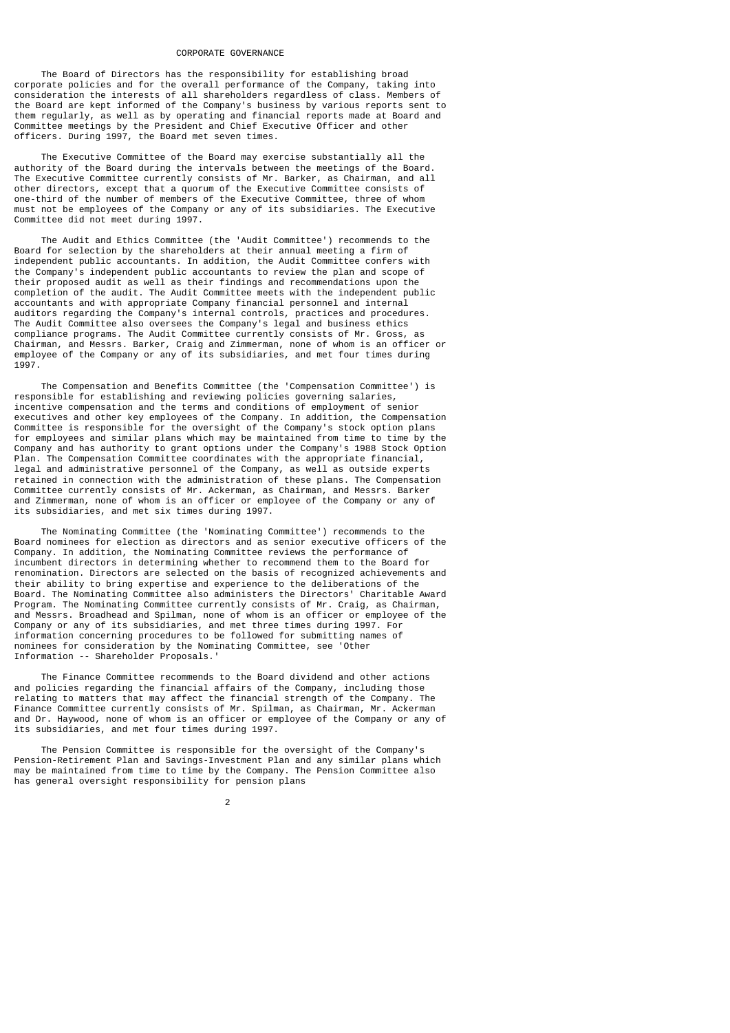### CORPORATE GOVERNANCE

 The Board of Directors has the responsibility for establishing broad corporate policies and for the overall performance of the Company, taking into consideration the interests of all shareholders regardless of class. Members of the Board are kept informed of the Company's business by various reports sent to them regularly, as well as by operating and financial reports made at Board and Committee meetings by the President and Chief Executive Officer and other officers. During 1997, the Board met seven times.

 The Executive Committee of the Board may exercise substantially all the authority of the Board during the intervals between the meetings of the Board. The Executive Committee currently consists of Mr. Barker, as Chairman, and all other directors, except that a quorum of the Executive Committee consists of one-third of the number of members of the Executive Committee, three of whom must not be employees of the Company or any of its subsidiaries. The Executive Committee did not meet during 1997.

 The Audit and Ethics Committee (the 'Audit Committee') recommends to the Board for selection by the shareholders at their annual meeting a firm of independent public accountants. In addition, the Audit Committee confers with the Company's independent public accountants to review the plan and scope of their proposed audit as well as their findings and recommendations upon the completion of the audit. The Audit Committee meets with the independent public accountants and with appropriate Company financial personnel and internal auditors regarding the Company's internal controls, practices and procedures. The Audit Committee also oversees the Company's legal and business ethics compliance programs. The Audit Committee currently consists of Mr. Gross, as Chairman, and Messrs. Barker, Craig and Zimmerman, none of whom is an officer or employee of the Company or any of its subsidiaries, and met four times during 1997.

 The Compensation and Benefits Committee (the 'Compensation Committee') is responsible for establishing and reviewing policies governing salaries, incentive compensation and the terms and conditions of employment of senior executives and other key employees of the Company. In addition, the Compensation Committee is responsible for the oversight of the Company's stock option plans for employees and similar plans which may be maintained from time to time by the Company and has authority to grant options under the Company's 1988 Stock Option Plan. The Compensation Committee coordinates with the appropriate financial, legal and administrative personnel of the Company, as well as outside experts retained in connection with the administration of these plans. The Compensation Committee currently consists of Mr. Ackerman, as Chairman, and Messrs. Barker and Zimmerman, none of whom is an officer or employee of the Company or any of its subsidiaries, and met six times during 1997.

 The Nominating Committee (the 'Nominating Committee') recommends to the Board nominees for election as directors and as senior executive officers of the Company. In addition, the Nominating Committee reviews the performance of incumbent directors in determining whether to recommend them to the Board for renomination. Directors are selected on the basis of recognized achievements and their ability to bring expertise and experience to the deliberations of the Board. The Nominating Committee also administers the Directors' Charitable Award Program. The Nominating Committee currently consists of Mr. Craig, as Chairman, and Messrs. Broadhead and Spilman, none of whom is an officer or employee of the Company or any of its subsidiaries, and met three times during 1997. For information concerning procedures to be followed for submitting names of nominees for consideration by the Nominating Committee, see 'Other Information -- Shareholder Proposals.'

 The Finance Committee recommends to the Board dividend and other actions and policies regarding the financial affairs of the Company, including those relating to matters that may affect the financial strength of the Company. The Finance Committee currently consists of Mr. Spilman, as Chairman, Mr. Ackerman and Dr. Haywood, none of whom is an officer or employee of the Company or any of its subsidiaries, and met four times during 1997.

 The Pension Committee is responsible for the oversight of the Company's Pension-Retirement Plan and Savings-Investment Plan and any similar plans which may be maintained from time to time by the Company. The Pension Committee also has general oversight responsibility for pension plans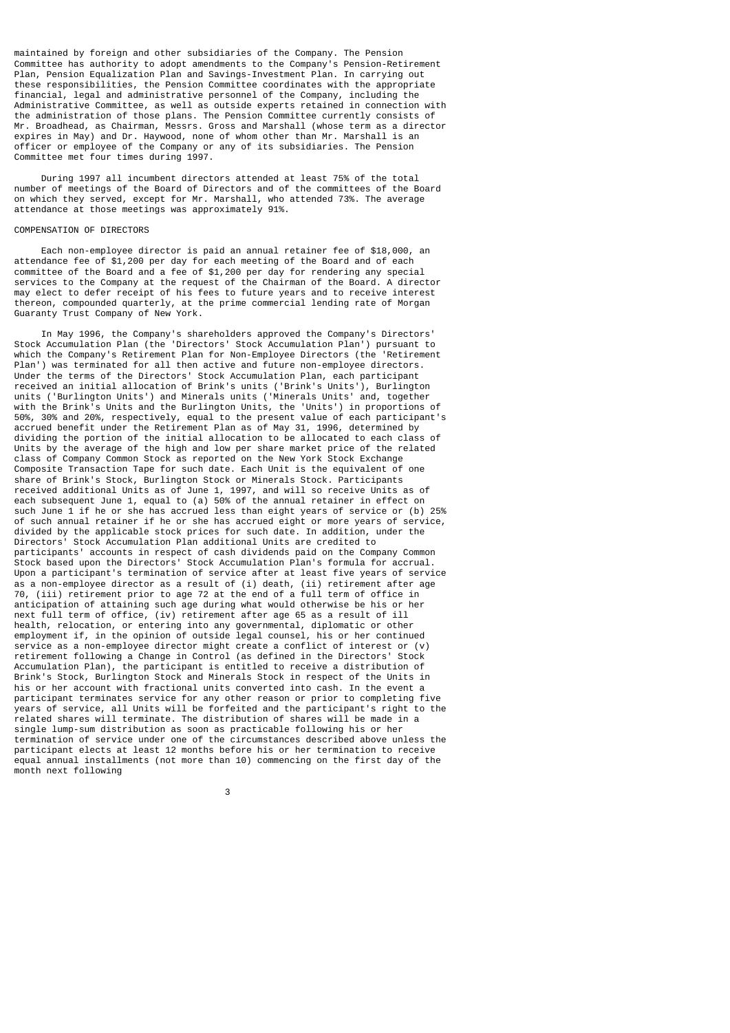maintained by foreign and other subsidiaries of the Company. The Pension Committee has authority to adopt amendments to the Company's Pension-Retirement Plan, Pension Equalization Plan and Savings-Investment Plan. In carrying out these responsibilities, the Pension Committee coordinates with the appropriate financial, legal and administrative personnel of the Company, including the Administrative Committee, as well as outside experts retained in connection with the administration of those plans. The Pension Committee currently consists of Mr. Broadhead, as Chairman, Messrs. Gross and Marshall (whose term as a director expires in May) and Dr. Haywood, none of whom other than Mr. Marshall is an officer or employee of the Company or any of its subsidiaries. The Pension Committee met four times during 1997.

 During 1997 all incumbent directors attended at least 75% of the total number of meetings of the Board of Directors and of the committees of the Board on which they served, except for Mr. Marshall, who attended 73%. The average attendance at those meetings was approximately 91%.

### COMPENSATION OF DIRECTORS

 Each non-employee director is paid an annual retainer fee of \$18,000, an attendance fee of \$1,200 per day for each meeting of the Board and of each committee of the Board and a fee of \$1,200 per day for rendering any special services to the Company at the request of the Chairman of the Board. A director may elect to defer receipt of his fees to future years and to receive interest thereon, compounded quarterly, at the prime commercial lending rate of Morgan Guaranty Trust Company of New York.

 In May 1996, the Company's shareholders approved the Company's Directors' Stock Accumulation Plan (the 'Directors' Stock Accumulation Plan') pursuant to which the Company's Retirement Plan for Non-Employee Directors (the 'Retirement Plan') was terminated for all then active and future non-employee directors. Under the terms of the Directors' Stock Accumulation Plan, each participant received an initial allocation of Brink's units ('Brink's Units'), Burlington units ('Burlington Units') and Minerals units ('Minerals Units' and, together with the Brink's Units and the Burlington Units, the 'Units') in proportions of 50%, 30% and 20%, respectively, equal to the present value of each participant's accrued benefit under the Retirement Plan as of May 31, 1996, determined by dividing the portion of the initial allocation to be allocated to each class of Units by the average of the high and low per share market price of the related class of Company Common Stock as reported on the New York Stock Exchange Composite Transaction Tape for such date. Each Unit is the equivalent of one share of Brink's Stock, Burlington Stock or Minerals Stock. Participants received additional Units as of June 1, 1997, and will so receive Units as of each subsequent June 1, equal to (a) 50% of the annual retainer in effect on such June 1 if he or she has accrued less than eight years of service or (b) 25% of such annual retainer if he or she has accrued eight or more years of service, divided by the applicable stock prices for such date. In addition, under the Directors' Stock Accumulation Plan additional Units are credited to participants' accounts in respect of cash dividends paid on the Company Common Stock based upon the Directors' Stock Accumulation Plan's formula for accrual. Upon a participant's termination of service after at least five years of service as a non-employee director as a result of (i) death, (ii) retirement after age 70, (iii) retirement prior to age 72 at the end of a full term of office in anticipation of attaining such age during what would otherwise be his or her next full term of office, (iv) retirement after age 65 as a result of ill health, relocation, or entering into any governmental, diplomatic or other employment if, in the opinion of outside legal counsel, his or her continued service as a non-employee director might create a conflict of interest or (v) retirement following a Change in Control (as defined in the Directors' Stock Accumulation Plan), the participant is entitled to receive a distribution of Brink's Stock, Burlington Stock and Minerals Stock in respect of the Units in his or her account with fractional units converted into cash. In the event a participant terminates service for any other reason or prior to completing five years of service, all Units will be forfeited and the participant's right to the related shares will terminate. The distribution of shares will be made in a single lump-sum distribution as soon as practicable following his or her termination of service under one of the circumstances described above unless the participant elects at least 12 months before his or her termination to receive equal annual installments (not more than 10) commencing on the first day of the month next following

 $\sim$  3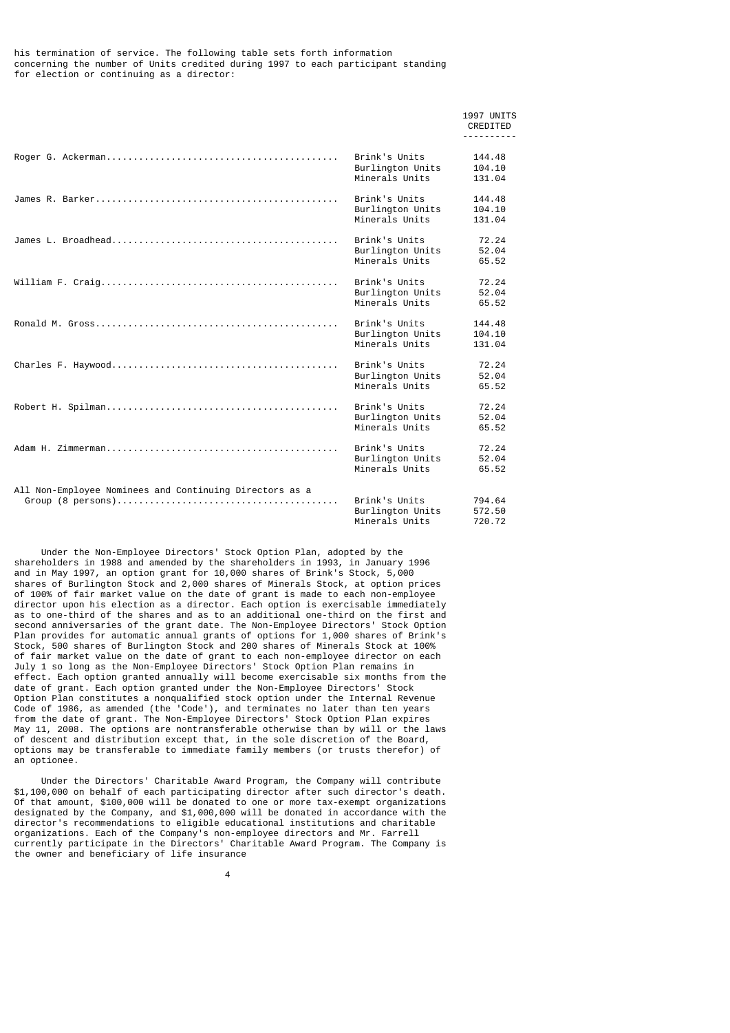|                                                         |                                                     | 1997 UNITS<br>CREDITED     |
|---------------------------------------------------------|-----------------------------------------------------|----------------------------|
|                                                         | Brink's Units<br>Burlington Units<br>Minerals Units | 144.48<br>104.10<br>131.04 |
|                                                         | Brink's Units<br>Burlington Units<br>Minerals Units | 144.48<br>104.10<br>131.04 |
|                                                         | Brink's Units<br>Burlington Units<br>Minerals Units | 72.24<br>52.04<br>65.52    |
|                                                         | Brink's Units<br>Burlington Units<br>Minerals Units | 72.24<br>52.04<br>65.52    |
|                                                         | Brink's Units<br>Burlington Units<br>Minerals Units | 144.48<br>104.10<br>131.04 |
|                                                         | Brink's Units<br>Burlington Units<br>Minerals Units | 72.24<br>52.04<br>65.52    |
|                                                         | Brink's Units<br>Burlington Units<br>Minerals Units | 72.24<br>52.04<br>65.52    |
|                                                         | Brink's Units<br>Burlington Units<br>Minerals Units | 72.24<br>52.04<br>65.52    |
| All Non-Employee Nominees and Continuing Directors as a | Brink's Units<br>Burlington Units<br>Minerals Units | 794.64<br>572.50<br>720.72 |

 Under the Non-Employee Directors' Stock Option Plan, adopted by the shareholders in 1988 and amended by the shareholders in 1993, in January 1996 and in May 1997, an option grant for 10,000 shares of Brink's Stock, 5,000 shares of Burlington Stock and 2,000 shares of Minerals Stock, at option prices of 100% of fair market value on the date of grant is made to each non-employee director upon his election as a director. Each option is exercisable immediately as to one-third of the shares and as to an additional one-third on the first and second anniversaries of the grant date. The Non-Employee Directors' Stock Option Plan provides for automatic annual grants of options for 1,000 shares of Brink's Stock, 500 shares of Burlington Stock and 200 shares of Minerals Stock at 100% of fair market value on the date of grant to each non-employee director on each July 1 so long as the Non-Employee Directors' Stock Option Plan remains in effect. Each option granted annually will become exercisable six months from the date of grant. Each option granted under the Non-Employee Directors' Stock Option Plan constitutes a nonqualified stock option under the Internal Revenue Code of 1986, as amended (the 'Code'), and terminates no later than ten years from the date of grant. The Non-Employee Directors' Stock Option Plan expires May 11, 2008. The options are nontransferable otherwise than by will or the laws of descent and distribution except that, in the sole discretion of the Board, options may be transferable to immediate family members (or trusts therefor) of an optionee.

 Under the Directors' Charitable Award Program, the Company will contribute \$1,100,000 on behalf of each participating director after such director's death. Of that amount, \$100,000 will be donated to one or more tax-exempt organizations designated by the Company, and \$1,000,000 will be donated in accordance with the director's recommendations to eligible educational institutions and charitable organizations. Each of the Company's non-employee directors and Mr. Farrell currently participate in the Directors' Charitable Award Program. The Company is the owner and beneficiary of life insurance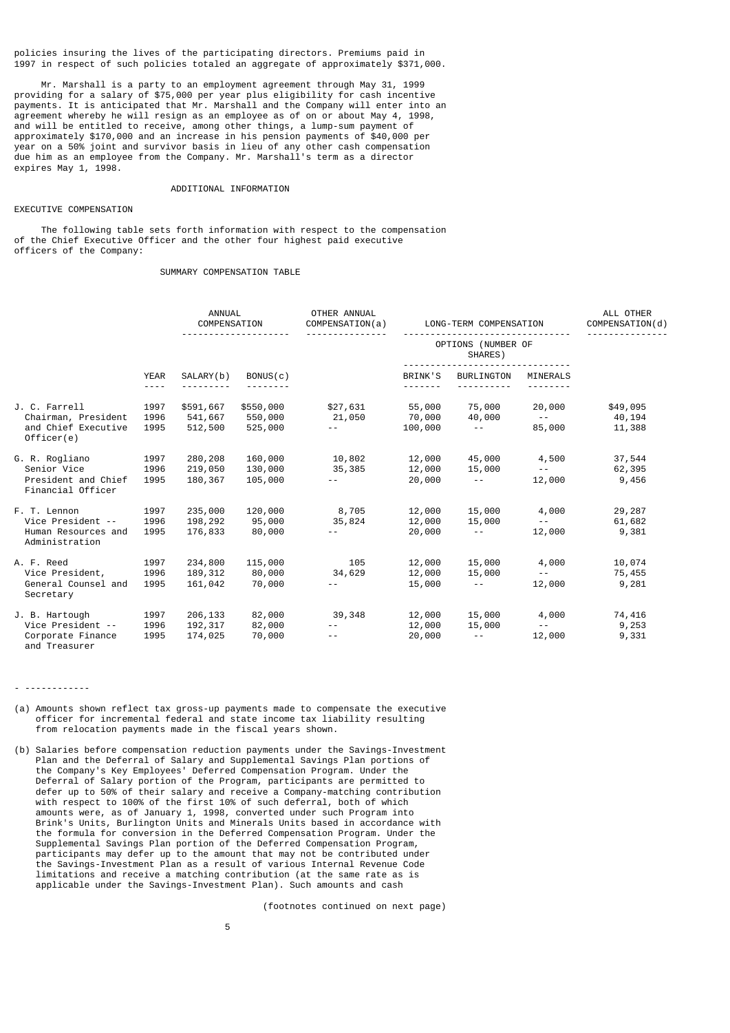policies insuring the lives of the participating directors. Premiums paid in 1997 in respect of such policies totaled an aggregate of approximately \$371,000.

 Mr. Marshall is a party to an employment agreement through May 31, 1999 providing for a salary of \$75,000 per year plus eligibility for cash incentive payments. It is anticipated that Mr. Marshall and the Company will enter into an agreement whereby he will resign as an employee as of on or about May 4, 1998, and will be entitled to receive, among other things, a lump-sum payment of approximately \$170,000 and an increase in his pension payments of \$40,000 per year on a 50% joint and survivor basis in lieu of any other cash compensation due him as an employee from the Company. Mr. Marshall's term as a director expires May 1, 1998.

### ADDITIONAL INFORMATION

## EXECUTIVE COMPENSATION

 The following table sets forth information with respect to the compensation of the Chief Executive Officer and the other four highest paid executive officers of the Company:

SUMMARY COMPENSATION TABLE

|                                                                            |                        | ANNUAL<br>COMPENSATION          |                                 | OTHER ANNUAL<br>COMPENSATION(a)          | LONG-TERM COMPENSATION        |                                           |                                                      |                              | ALL OTHER<br>COMPENSATION(d)<br>. <u>.</u> |
|----------------------------------------------------------------------------|------------------------|---------------------------------|---------------------------------|------------------------------------------|-------------------------------|-------------------------------------------|------------------------------------------------------|------------------------------|--------------------------------------------|
|                                                                            |                        |                                 |                                 |                                          | OPTIONS (NUMBER OF<br>SHARES) |                                           |                                                      |                              |                                            |
|                                                                            | <b>YEAR</b><br>- - - - | SALARY(b)                       | BONUS(c)                        |                                          | BRINK'S                       | <b>BURLINGTON</b>                         | MINERALS                                             |                              |                                            |
| J. C. Farrell<br>Chairman, President<br>and Chief Executive<br>Officer(e)  | 1997<br>1996<br>1995   | \$591,667<br>541,667<br>512,500 | \$550,000<br>550,000<br>525,000 | \$27,631<br>21,050                       | 55,000<br>70,000<br>100,000   | 75,000<br>40,000<br>$\sim$ $\sim$ $ \sim$ | 20,000<br>$\sim$ $ \sim$ $ \sim$<br>85,000           | \$49,095<br>40,194<br>11,388 |                                            |
| G. R. Rogliano<br>Senior Vice<br>President and Chief<br>Financial Officer  | 1997<br>1996<br>1995   | 280,208<br>219,050<br>180,367   | 160,000<br>130,000<br>105,000   | 10,802<br>35,385<br>$\sim$ $-$           | 12,000<br>12,000<br>20,000    | 45,000<br>15,000<br>$\sim$ $ \sim$ $-$    | 4,500<br>$\sim 10^{-1}$ and $\sim 10^{-1}$<br>12,000 | 37,544<br>62,395<br>9,456    |                                            |
| F. T. Lennon<br>Vice President --<br>Human Resources and<br>Administration | 1997<br>1996<br>1995   | 235,000<br>198,292<br>176,833   | 120,000<br>95,000<br>80,000     | 8,705<br>35,824<br>$\sim$ $\sim$ $ \sim$ | 12,000<br>12,000<br>20,000    | 15,000<br>15,000<br>$\sim$ $\sim$ $-$     | 4,000<br>$\sim$ $\sim$<br>12,000                     | 29,287<br>61,682<br>9,381    |                                            |
| A. F. Reed<br>Vice President,<br>General Counsel and<br>Secretary          | 1997<br>1996<br>1995   | 234,800<br>189,312<br>161,042   | 115,000<br>80,000<br>70,000     | 105<br>34,629                            | 12,000<br>12,000<br>15,000    | 15,000<br>15,000<br>$- -$                 | 4,000<br>$\sim$ $-$<br>12,000                        | 10,074<br>75,455<br>9,281    |                                            |
| J. B. Hartough<br>Vice President --<br>Corporate Finance<br>and Treasurer  | 1997<br>1996<br>1995   | 206,133<br>192,317<br>174,025   | 82,000<br>82,000<br>70,000      | 39,348<br>$\sim$ $-$<br>$\sim$ $-$       | 12,000<br>12,000<br>20,000    | 15,000<br>15,000<br>$\sim$ $-$            | 4,000<br>$\sim$ $    -$<br>12,000                    | 74,416<br>9,253<br>9,331     |                                            |

- (a) Amounts shown reflect tax gross-up payments made to compensate the executive officer for incremental federal and state income tax liability resulting from relocation payments made in the fiscal years shown.
- (b) Salaries before compensation reduction payments under the Savings-Investment Plan and the Deferral of Salary and Supplemental Savings Plan portions of the Company's Key Employees' Deferred Compensation Program. Under the Deferral of Salary portion of the Program, participants are permitted to defer up to 50% of their salary and receive a Company-matching contribution with respect to 100% of the first 10% of such deferral, both of which amounts were, as of January 1, 1998, converted under such Program into Brink's Units, Burlington Units and Minerals Units based in accordance with the formula for conversion in the Deferred Compensation Program. Under the Supplemental Savings Plan portion of the Deferred Compensation Program, participants may defer up to the amount that may not be contributed under the Savings-Investment Plan as a result of various Internal Revenue Code limitations and receive a matching contribution (at the same rate as is applicable under the Savings-Investment Plan). Such amounts and cash

(footnotes continued on next page)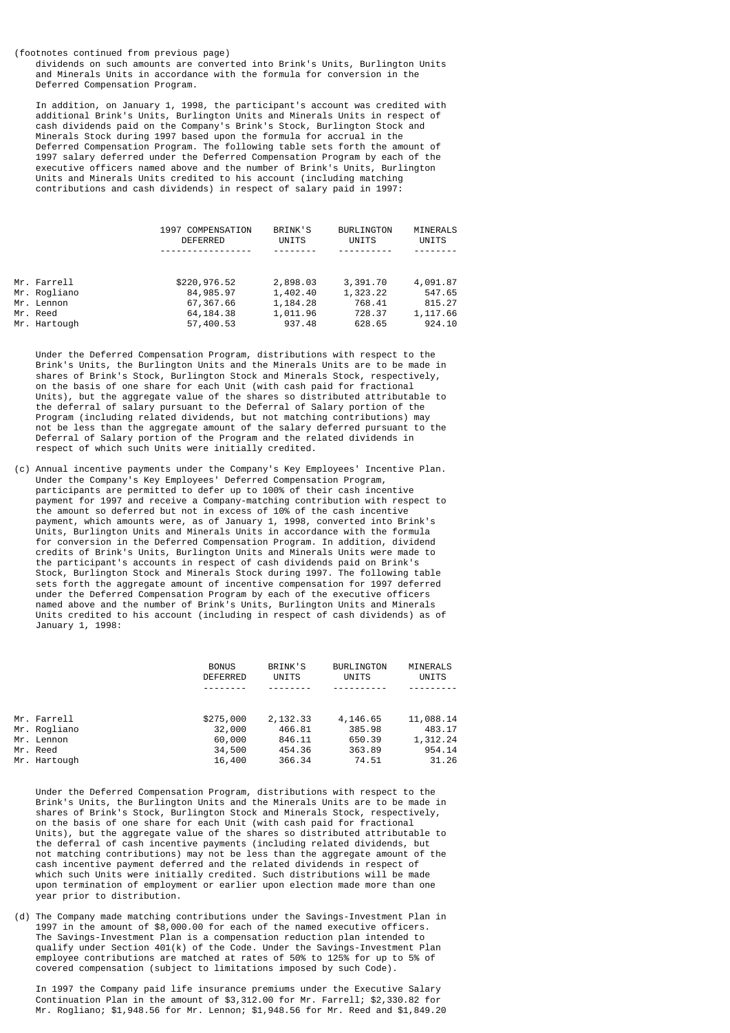#### (footnotes continued from previous page)

 dividends on such amounts are converted into Brink's Units, Burlington Units and Minerals Units in accordance with the formula for conversion in the Deferred Compensation Program.

 In addition, on January 1, 1998, the participant's account was credited with additional Brink's Units, Burlington Units and Minerals Units in respect of cash dividends paid on the Company's Brink's Stock, Burlington Stock and Minerals Stock during 1997 based upon the formula for accrual in the Deferred Compensation Program. The following table sets forth the amount of 1997 salary deferred under the Deferred Compensation Program by each of the executive officers named above and the number of Brink's Units, Burlington Units and Minerals Units credited to his account (including matching contributions and cash dividends) in respect of salary paid in 1997:

|              | 1997 COMPENSATION<br><b>DEFERRED</b> | BRINK'S<br>UNITS | <b>BURLINGTON</b><br>UNITS | MINERALS<br>UNITS |
|--------------|--------------------------------------|------------------|----------------------------|-------------------|
|              |                                      |                  |                            |                   |
| Mr. Farrell  | \$220,976.52                         | 2,898.03         | 3,391.70                   | 4,091.87          |
| Mr. Roqliano | 84,985.97                            | 1,402.40         | 1,323.22                   | 547.65            |
| Mr. Lennon   | 67,367.66                            | 1,184.28         | 768.41                     | 815.27            |
| Mr. Reed     | 64, 184. 38                          | 1,011.96         | 728.37                     | 1, 117.66         |
| Mr. Hartough | 57,400.53                            | 937.48           | 628.65                     | 924.10            |
|              |                                      |                  |                            |                   |

 Under the Deferred Compensation Program, distributions with respect to the Brink's Units, the Burlington Units and the Minerals Units are to be made in shares of Brink's Stock, Burlington Stock and Minerals Stock, respectively, on the basis of one share for each Unit (with cash paid for fractional Units), but the aggregate value of the shares so distributed attributable to the deferral of salary pursuant to the Deferral of Salary portion of the Program (including related dividends, but not matching contributions) may not be less than the aggregate amount of the salary deferred pursuant to the Deferral of Salary portion of the Program and the related dividends in respect of which such Units were initially credited.

(c) Annual incentive payments under the Company's Key Employees' Incentive Plan. Under the Company's Key Employees' Deferred Compensation Program, participants are permitted to defer up to 100% of their cash incentive payment for 1997 and receive a Company-matching contribution with respect to the amount so deferred but not in excess of 10% of the cash incentive payment, which amounts were, as of January 1, 1998, converted into Brink's Units, Burlington Units and Minerals Units in accordance with the formula for conversion in the Deferred Compensation Program. In addition, dividend credits of Brink's Units, Burlington Units and Minerals Units were made to the participant's accounts in respect of cash dividends paid on Brink's Stock, Burlington Stock and Minerals Stock during 1997. The following table sets forth the aggregate amount of incentive compensation for 1997 deferred under the Deferred Compensation Program by each of the executive officers named above and the number of Brink's Units, Burlington Units and Minerals Units credited to his account (including in respect of cash dividends) as of January 1, 1998:

| <b>BONUS</b><br><b>DEFERRED</b>                                       | BRINK'S<br>UNITS | <b>BURLINGTON</b><br>UNITS | MINERALS<br>UNITS |
|-----------------------------------------------------------------------|------------------|----------------------------|-------------------|
|                                                                       |                  |                            |                   |
| \$275,000                                                             | 2,132.33         | 4,146.65                   | 11,088.14         |
| 32,000                                                                | 466.81           | 385.98                     | 483.17            |
| 60,000                                                                | 846.11           | 650.39                     | 1,312.24          |
| 34,500                                                                | 454.36           | 363.89                     | 954.14            |
| 16,400                                                                | 366.34           | 74.51                      | 31.26             |
| Mr. Farrell<br>Mr. Rogliano<br>Mr. Lennon<br>Mr. Reed<br>Mr. Hartough |                  |                            |                   |

 Under the Deferred Compensation Program, distributions with respect to the Brink's Units, the Burlington Units and the Minerals Units are to be made in shares of Brink's Stock, Burlington Stock and Minerals Stock, respectively, on the basis of one share for each Unit (with cash paid for fractional Units), but the aggregate value of the shares so distributed attributable to the deferral of cash incentive payments (including related dividends, but not matching contributions) may not be less than the aggregate amount of the cash incentive payment deferred and the related dividends in respect of which such Units were initially credited. Such distributions will be made upon termination of employment or earlier upon election made more than one year prior to distribution.

(d) The Company made matching contributions under the Savings-Investment Plan in 1997 in the amount of \$8,000.00 for each of the named executive officers. The Savings-Investment Plan is a compensation reduction plan intended to qualify under Section 401(k) of the Code. Under the Savings-Investment Plan employee contributions are matched at rates of 50% to 125% for up to 5% of covered compensation (subject to limitations imposed by such Code).

 In 1997 the Company paid life insurance premiums under the Executive Salary Continuation Plan in the amount of \$3,312.00 for Mr. Farrell; \$2,330.82 for Mr. Rogliano; \$1,948.56 for Mr. Lennon; \$1,948.56 for Mr. Reed and \$1,849.20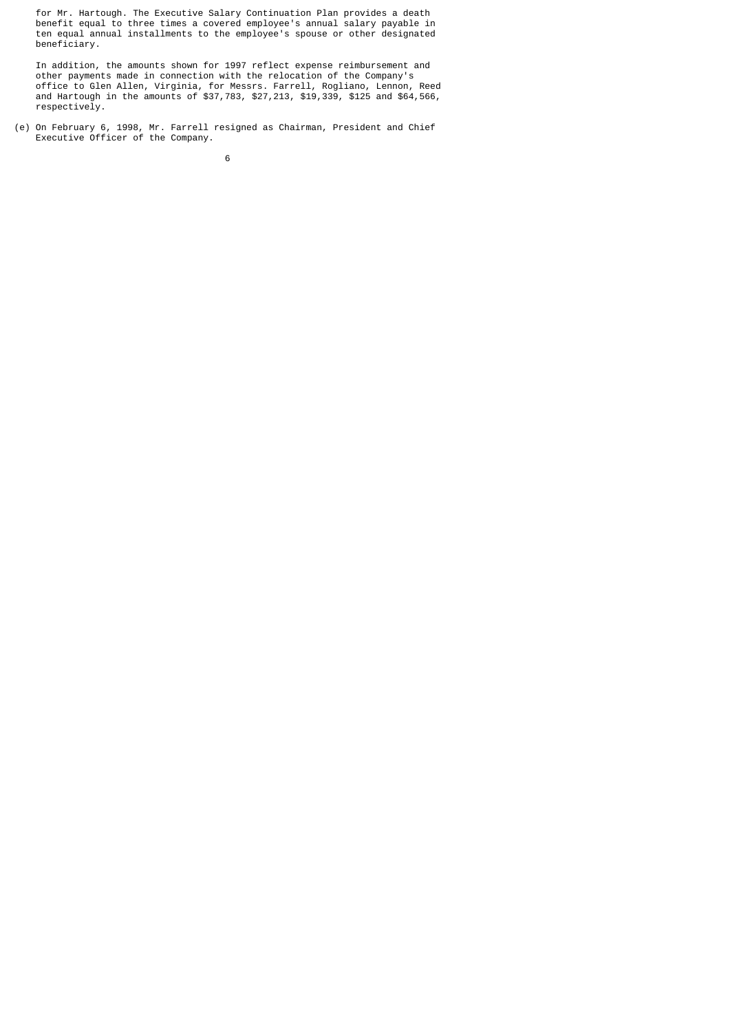for Mr. Hartough. The Executive Salary Continuation Plan provides a death benefit equal to three times a covered employee's annual salary payable in ten equal annual installments to the employee's spouse or other designated beneficiary.

 In addition, the amounts shown for 1997 reflect expense reimbursement and other payments made in connection with the relocation of the Company's office to Glen Allen, Virginia, for Messrs. Farrell, Rogliano, Lennon, Reed and Hartough in the amounts of \$37,783, \$27,213, \$19,339, \$125 and \$64,566, respectively.

(e) On February 6, 1998, Mr. Farrell resigned as Chairman, President and Chief Executive Officer of the Company.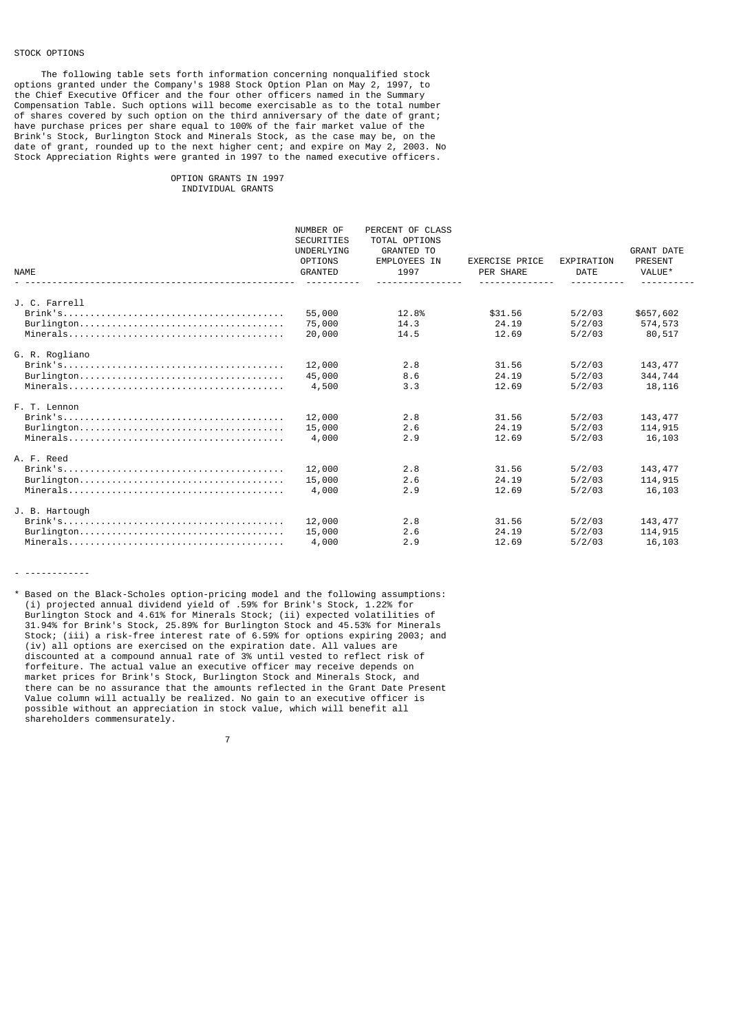# STOCK OPTIONS

 The following table sets forth information concerning nonqualified stock options granted under the Company's 1988 Stock Option Plan on May 2, 1997, to the Chief Executive Officer and the four other officers named in the Summary Compensation Table. Such options will become exercisable as to the total number of shares covered by such option on the third anniversary of the date of grant; have purchase prices per share equal to 100% of the fair market value of the Brink's Stock, Burlington Stock and Minerals Stock, as the case may be, on the date of grant, rounded up to the next higher cent; and expire on May 2, 2003. No Stock Appreciation Rights were granted in 1997 to the named executive officers.

#### OPTION GRANTS IN 1997 INDIVIDUAL GRANTS

| <b>NAME</b>    | NUMBER OF<br><b>SECURITIES</b><br>UNDERLYING<br><b>OPTIONS</b><br>GRANTED | PERCENT OF CLASS<br>TOTAL OPTIONS<br><b>GRANTED TO</b><br>EMPLOYEES IN<br>1997 | <b>EXERCISE PRICE</b><br>PER SHARE | EXPIRATION<br><b>DATE</b> | <b>GRANT DATE</b><br>PRESENT<br>VALUE* |
|----------------|---------------------------------------------------------------------------|--------------------------------------------------------------------------------|------------------------------------|---------------------------|----------------------------------------|
|                |                                                                           |                                                                                |                                    |                           |                                        |
| J. C. Farrell  |                                                                           | 12.8%                                                                          | \$31.56                            | 5/2/03                    |                                        |
|                | 55,000                                                                    | 14.3                                                                           | 24.19                              |                           | \$657,602                              |
|                | 75,000                                                                    |                                                                                |                                    | 5/2/03                    | 574,573                                |
|                | 20,000                                                                    | 14.5                                                                           | 12.69                              | 5/2/03                    | 80,517                                 |
| G. R. Rogliano |                                                                           |                                                                                |                                    |                           |                                        |
|                | 12,000                                                                    | 2.8                                                                            | 31.56                              | 5/2/03                    | 143, 477                               |
|                | 45,000                                                                    | 8.6                                                                            | 24.19                              | 5/2/03                    | 344,744                                |
|                | 4,500                                                                     | 3.3                                                                            | 12.69                              | 5/2/03                    | 18, 116                                |
| F. T. Lennon   |                                                                           |                                                                                |                                    |                           |                                        |
|                | 12,000                                                                    | 2.8                                                                            | 31.56                              | 5/2/03                    | 143, 477                               |
|                | 15,000                                                                    | 2.6                                                                            | 24.19                              | 5/2/03                    | 114,915                                |
|                | 4,000                                                                     | 2.9                                                                            | 12.69                              | 5/2/03                    | 16,103                                 |
| A. F. Reed     |                                                                           |                                                                                |                                    |                           |                                        |
|                | 12,000                                                                    | 2.8                                                                            | 31.56                              | 5/2/03                    | 143, 477                               |
|                | 15,000                                                                    | 2.6                                                                            | 24.19                              | 5/2/03                    | 114,915                                |
|                | 4,000                                                                     | 2.9                                                                            | 12.69                              | 5/2/03                    | 16,103                                 |
| J. B. Hartough |                                                                           |                                                                                |                                    |                           |                                        |
|                | 12,000                                                                    | 2.8                                                                            | 31.56                              | 5/2/03                    | 143, 477                               |
|                | 15,000                                                                    | 2.6                                                                            | 24.19                              | 5/2/03                    | 114,915                                |
|                | 4,000                                                                     | 2.9                                                                            | 12.69                              | 5/2/03                    | 16,103                                 |
|                |                                                                           |                                                                                |                                    |                           |                                        |

- ------------

7

\* Based on the Black-Scholes option-pricing model and the following assumptions: (i) projected annual dividend yield of .59% for Brink's Stock, 1.22% for Burlington Stock and 4.61% for Minerals Stock; (ii) expected volatilities of 31.94% for Brink's Stock, 25.89% for Burlington Stock and 45.53% for Minerals Stock; (iii) a risk-free interest rate of 6.59% for options expiring 2003; and (iv) all options are exercised on the expiration date. All values are discounted at a compound annual rate of 3% until vested to reflect risk of forfeiture. The actual value an executive officer may receive depends on market prices for Brink's Stock, Burlington Stock and Minerals Stock, and there can be no assurance that the amounts reflected in the Grant Date Present Value column will actually be realized. No gain to an executive officer is possible without an appreciation in stock value, which will benefit all shareholders commensurately.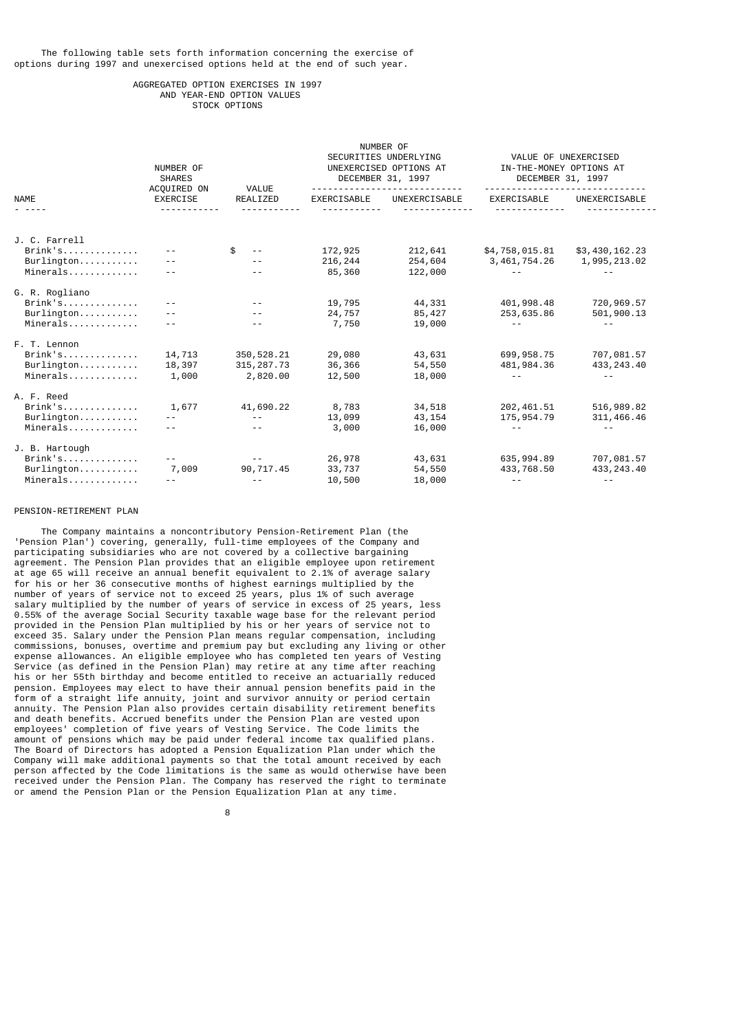## The following table sets forth information concerning the exercise of options during 1997 and unexercised options held at the end of such year.

### AGGREGATED OPTION EXERCISES IN 1997 AND YEAR-END OPTION VALUES STOCK OPTIONS

|                | NUMBER OF<br><b>SHARES</b>     |                   |             | NUMBER OF<br>SECURITIES UNDERLYING<br>UNEXERCISED OPTIONS AT<br>DECEMBER 31, 1997 | VALUE OF UNEXERCISED<br>IN-THE-MONEY OPTIONS AT<br>DECEMBER 31, 1997 |                |
|----------------|--------------------------------|-------------------|-------------|-----------------------------------------------------------------------------------|----------------------------------------------------------------------|----------------|
| <b>NAME</b>    | ACQUIRED ON<br><b>EXERCISE</b> | VALUE<br>REALIZED | EXERCISABLE | <b>UNEXERCISABLE</b>                                                              | EXERCISABLE                                                          | UNEXERCISABLE  |
|                |                                |                   |             |                                                                                   |                                                                      |                |
| J. C. Farrell  |                                |                   |             |                                                                                   |                                                                      |                |
| $Brink's$      | $ -$                           | \$<br>$- -$       | 172,925     | 212,641                                                                           | \$4,758,015.81                                                       | \$3,430,162.23 |
| $Burlington$   | $ -$                           | $- -$             | 216,244     | 254,604                                                                           | 3, 461, 754.26                                                       | 1,995,213.02   |
| Minerals       | $- -$                          |                   | 85,360      | 122,000                                                                           | $- -$                                                                |                |
| G. R. Rogliano |                                |                   |             |                                                                                   |                                                                      |                |
| Brink's        | $ -$                           | $- -$             | 19,795      | 44,331                                                                            | 401, 998.48                                                          | 720,969.57     |
| Burlington     | $ -$                           | $ -$              | 24,757      | 85,427                                                                            | 253,635.86                                                           | 501,900.13     |
| Minerals       | - -                            | $ -$              | 7,750       | 19,000                                                                            |                                                                      |                |
| F. T. Lennon   |                                |                   |             |                                                                                   |                                                                      |                |
| Brink's        | 14,713                         | 350, 528.21       | 29,080      | 43,631                                                                            | 699, 958.75                                                          | 707,081.57     |
| Burlington     | 18,397                         | 315, 287.73       | 36,366      | 54,550                                                                            | 481, 984.36                                                          | 433, 243.40    |
| Minerals       | 1,000                          | 2,820.00          | 12,500      | 18,000                                                                            |                                                                      |                |
| A. F. Reed     |                                |                   |             |                                                                                   |                                                                      |                |
| Brink's        | 1,677                          | 41,690.22         | 8,783       | 34,518                                                                            | 202, 461.51                                                          | 516,989.82     |
|                | $ -$                           | $ -$              | 13,099      | 43, 154                                                                           | 175, 954.79                                                          | 311, 466.46    |
| Minerals       | $- -$                          | $- -$             | 3,000       | 16,000                                                                            | $- -$                                                                |                |
| J. B. Hartough |                                |                   |             |                                                                                   |                                                                      |                |
| $Brink's$      |                                |                   | 26,978      | 43,631                                                                            | 635, 994.89                                                          | 707,081.57     |
| Burlington     | 7,009                          | 90,717.45         | 33,737      | 54,550                                                                            | 433,768.50                                                           | 433, 243.40    |
| Minerals       | $ -$                           |                   | 10,500      | 18,000                                                                            | $- -$                                                                | $- -$          |

#### PENSION-RETIREMENT PLAN

 The Company maintains a noncontributory Pension-Retirement Plan (the 'Pension Plan') covering, generally, full-time employees of the Company and participating subsidiaries who are not covered by a collective bargaining agreement. The Pension Plan provides that an eligible employee upon retirement at age 65 will receive an annual benefit equivalent to 2.1% of average salary for his or her 36 consecutive months of highest earnings multiplied by the number of years of service not to exceed 25 years, plus 1% of such average salary multiplied by the number of years of service in excess of 25 years, less 0.55% of the average Social Security taxable wage base for the relevant period provided in the Pension Plan multiplied by his or her years of service not to exceed 35. Salary under the Pension Plan means regular compensation, including commissions, bonuses, overtime and premium pay but excluding any living or other expense allowances. An eligible employee who has completed ten years of Vesting Service (as defined in the Pension Plan) may retire at any time after reaching his or her 55th birthday and become entitled to receive an actuarially reduced pension. Employees may elect to have their annual pension benefits paid in the form of a straight life annuity, joint and survivor annuity or period certain annuity. The Pension Plan also provides certain disability retirement benefits and death benefits. Accrued benefits under the Pension Plan are vested upon employees' completion of five years of Vesting Service. The Code limits the amount of pensions which may be paid under federal income tax qualified plans. The Board of Directors has adopted a Pension Equalization Plan under which the Company will make additional payments so that the total amount received by each person affected by the Code limitations is the same as would otherwise have been received under the Pension Plan. The Company has reserved the right to terminate or amend the Pension Plan or the Pension Equalization Plan at any time.

e a construction de la construction de la construction de la construction de la construction de la constructio<br>En 1980, en 1980, en 1980, en 1980, en 1980, en 1980, en 1980, en 1980, en 1980, en 1980, en 1980, en 1980, en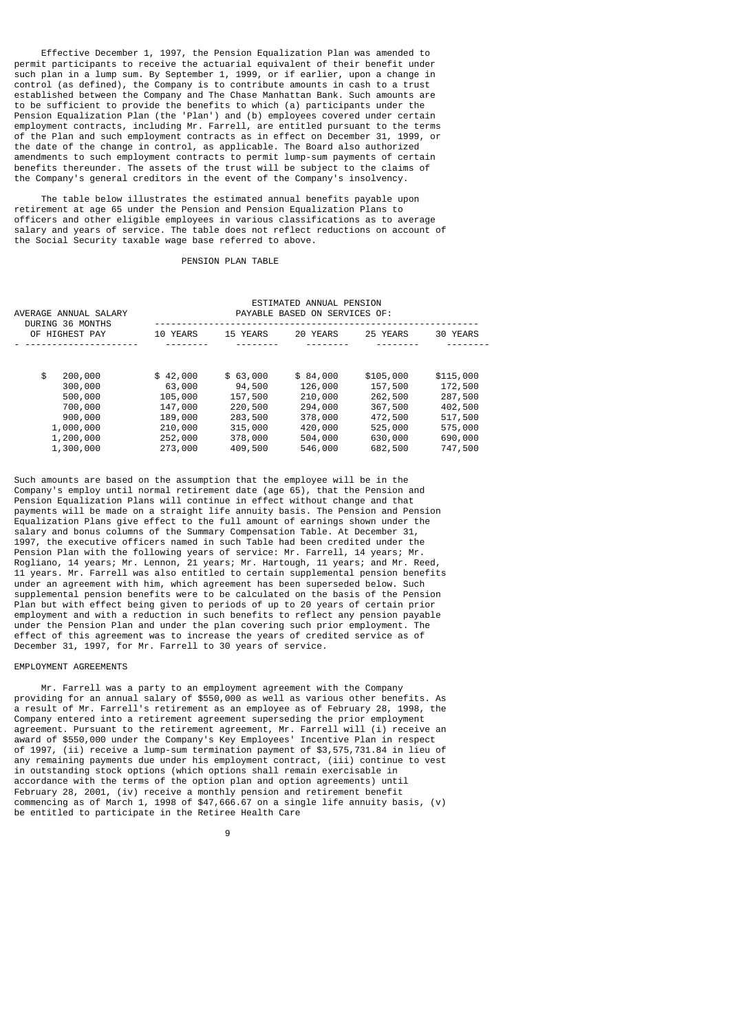Effective December 1, 1997, the Pension Equalization Plan was amended to permit participants to receive the actuarial equivalent of their benefit under such plan in a lump sum. By September 1, 1999, or if earlier, upon a change in control (as defined), the Company is to contribute amounts in cash to a trust established between the Company and The Chase Manhattan Bank. Such amounts are to be sufficient to provide the benefits to which (a) participants under the Pension Equalization Plan (the 'Plan') and (b) employees covered under certain employment contracts, including Mr. Farrell, are entitled pursuant to the terms of the Plan and such employment contracts as in effect on December 31, 1999, or the date of the change in control, as applicable. The Board also authorized amendments to such employment contracts to permit lump-sum payments of certain benefits thereunder. The assets of the trust will be subject to the claims of the Company's general creditors in the event of the Company's insolvency.

 The table below illustrates the estimated annual benefits payable upon retirement at age 65 under the Pension and Pension Equalization Plans to officers and other eligible employees in various classifications as to average salary and years of service. The table does not reflect reductions on account of the Social Security taxable wage base referred to above.

## PENSION PLAN TABLE

| AVERAGE ANNUAL SALARY<br>DURING 36 MONTHS<br>OF HIGHEST PAY |           |          | ESTIMATED ANNUAL PENSION<br>PAYABLE BASED ON SERVICES OF: |          |           |           |  |  |  |
|-------------------------------------------------------------|-----------|----------|-----------------------------------------------------------|----------|-----------|-----------|--|--|--|
|                                                             |           | 10 YEARS | 15 YEARS                                                  | 20 YEARS | 25 YEARS  | 30 YEARS  |  |  |  |
|                                                             |           |          |                                                           |          |           |           |  |  |  |
| \$                                                          | 200,000   | \$42,000 | \$63,000                                                  | \$84,000 | \$105,000 | \$115,000 |  |  |  |
|                                                             | 300,000   | 63,000   | 94,500                                                    | 126,000  | 157,500   | 172,500   |  |  |  |
|                                                             | 500,000   | 105,000  | 157,500                                                   | 210,000  | 262,500   | 287,500   |  |  |  |
|                                                             | 700,000   | 147,000  | 220,500                                                   | 294,000  | 367,500   | 402,500   |  |  |  |
|                                                             | 900,000   | 189,000  | 283,500                                                   | 378,000  | 472,500   | 517,500   |  |  |  |
|                                                             | 1,000,000 | 210,000  | 315,000                                                   | 420,000  | 525,000   | 575,000   |  |  |  |
|                                                             | 1,200,000 | 252,000  | 378,000                                                   | 504,000  | 630,000   | 690,000   |  |  |  |
|                                                             | 1,300,000 | 273,000  | 409,500                                                   | 546,000  | 682,500   | 747,500   |  |  |  |

Such amounts are based on the assumption that the employee will be in the Company's employ until normal retirement date (age 65), that the Pension and Pension Equalization Plans will continue in effect without change and that payments will be made on a straight life annuity basis. The Pension and Pension Equalization Plans give effect to the full amount of earnings shown under the salary and bonus columns of the Summary Compensation Table. At December 31, 1997, the executive officers named in such Table had been credited under the Pension Plan with the following years of service: Mr. Farrell, 14 years; Mr. Rogliano, 14 years; Mr. Lennon, 21 years; Mr. Hartough, 11 years; and Mr. Reed, 11 years. Mr. Farrell was also entitled to certain supplemental pension benefits under an agreement with him, which agreement has been superseded below. Such supplemental pension benefits were to be calculated on the basis of the Pension Plan but with effect being given to periods of up to 20 years of certain prior employment and with a reduction in such benefits to reflect any pension payable under the Pension Plan and under the plan covering such prior employment. The effect of this agreement was to increase the years of credited service as of December 31, 1997, for Mr. Farrell to 30 years of service.

# EMPLOYMENT AGREEMENTS

 Mr. Farrell was a party to an employment agreement with the Company providing for an annual salary of \$550,000 as well as various other benefits. As a result of Mr. Farrell's retirement as an employee as of February 28, 1998, the Company entered into a retirement agreement superseding the prior employment agreement. Pursuant to the retirement agreement, Mr. Farrell will (i) receive an award of \$550,000 under the Company's Key Employees' Incentive Plan in respect of 1997, (ii) receive a lump-sum termination payment of \$3,575,731.84 in lieu of any remaining payments due under his employment contract, (iii) continue to vest in outstanding stock options (which options shall remain exercisable in accordance with the terms of the option plan and option agreements) until February 28, 2001, (iv) receive a monthly pension and retirement benefit commencing as of March 1, 1998 of \$47,666.67 on a single life annuity basis, (v) be entitled to participate in the Retiree Health Care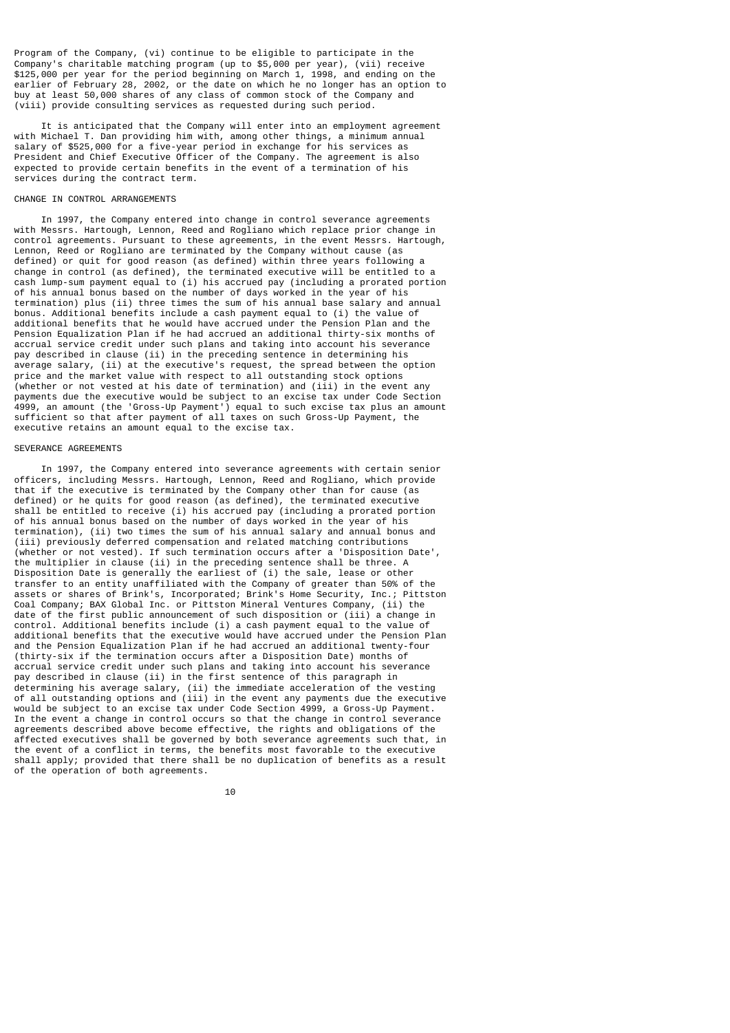Program of the Company, (vi) continue to be eligible to participate in the Company's charitable matching program (up to \$5,000 per year), (vii) receive \$125,000 per year for the period beginning on March 1, 1998, and ending on the earlier of February 28, 2002, or the date on which he no longer has an option to buy at least 50,000 shares of any class of common stock of the Company and (viii) provide consulting services as requested during such period.

 It is anticipated that the Company will enter into an employment agreement with Michael T. Dan providing him with, among other things, a minimum annual salary of \$525,000 for a five-year period in exchange for his services as President and Chief Executive Officer of the Company. The agreement is also expected to provide certain benefits in the event of a termination of his services during the contract term.

## CHANGE IN CONTROL ARRANGEMENTS

 In 1997, the Company entered into change in control severance agreements with Messrs. Hartough, Lennon, Reed and Rogliano which replace prior change in control agreements. Pursuant to these agreements, in the event Messrs. Hartough, Lennon, Reed or Rogliano are terminated by the Company without cause (as defined) or quit for good reason (as defined) within three years following a change in control (as defined), the terminated executive will be entitled to a cash lump-sum payment equal to (i) his accrued pay (including a prorated portion of his annual bonus based on the number of days worked in the year of his termination) plus (ii) three times the sum of his annual base salary and annual bonus. Additional benefits include a cash payment equal to (i) the value of additional benefits that he would have accrued under the Pension Plan and the Pension Equalization Plan if he had accrued an additional thirty-six months of accrual service credit under such plans and taking into account his severance pay described in clause (ii) in the preceding sentence in determining his average salary, (ii) at the executive's request, the spread between the option price and the market value with respect to all outstanding stock options (whether or not vested at his date of termination) and (iii) in the event any payments due the executive would be subject to an excise tax under Code Section 4999, an amount (the 'Gross-Up Payment') equal to such excise tax plus an amount sufficient so that after payment of all taxes on such Gross-Up Payment, the executive retains an amount equal to the excise tax.

## SEVERANCE AGREEMENTS

 In 1997, the Company entered into severance agreements with certain senior officers, including Messrs. Hartough, Lennon, Reed and Rogliano, which provide that if the executive is terminated by the Company other than for cause (as defined) or he quits for good reason (as defined), the terminated executive shall be entitled to receive (i) his accrued pay (including a prorated portion of his annual bonus based on the number of days worked in the year of his termination), (ii) two times the sum of his annual salary and annual bonus and (iii) previously deferred compensation and related matching contributions (whether or not vested). If such termination occurs after a 'Disposition Date', the multiplier in clause (ii) in the preceding sentence shall be three. A Disposition Date is generally the earliest of (i) the sale, lease or other transfer to an entity unaffiliated with the Company of greater than 50% of the assets or shares of Brink's, Incorporated; Brink's Home Security, Inc.; Pittston Coal Company; BAX Global Inc. or Pittston Mineral Ventures Company, (ii) the date of the first public announcement of such disposition or (iii) a change in control. Additional benefits include (i) a cash payment equal to the value of additional benefits that the executive would have accrued under the Pension Plan and the Pension Equalization Plan if he had accrued an additional twenty-four (thirty-six if the termination occurs after a Disposition Date) months of accrual service credit under such plans and taking into account his severance pay described in clause (ii) in the first sentence of this paragraph in determining his average salary, (ii) the immediate acceleration of the vesting of all outstanding options and (iii) in the event any payments due the executive would be subject to an excise tax under Code Section 4999, a Gross-Up Payment. In the event a change in control occurs so that the change in control severance agreements described above become effective, the rights and obligations of the affected executives shall be governed by both severance agreements such that, in the event of a conflict in terms, the benefits most favorable to the executive shall apply; provided that there shall be no duplication of benefits as a result of the operation of both agreements.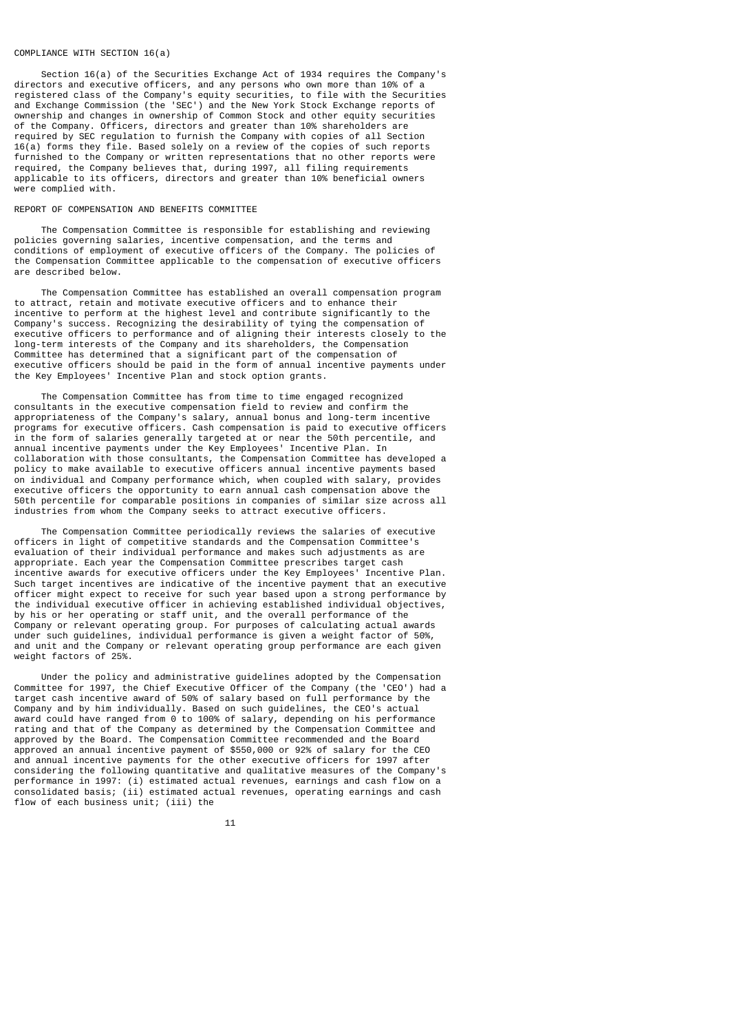## COMPLIANCE WITH SECTION 16(a)

 Section 16(a) of the Securities Exchange Act of 1934 requires the Company's directors and executive officers, and any persons who own more than 10% of a registered class of the Company's equity securities, to file with the Securities and Exchange Commission (the 'SEC') and the New York Stock Exchange reports of ownership and changes in ownership of Common Stock and other equity securities of the Company. Officers, directors and greater than 10% shareholders are required by SEC regulation to furnish the Company with copies of all Section 16(a) forms they file. Based solely on a review of the copies of such reports furnished to the Company or written representations that no other reports were required, the Company believes that, during 1997, all filing requirements applicable to its officers, directors and greater than 10% beneficial owners were complied with.

### REPORT OF COMPENSATION AND BENEFITS COMMITTEE

 The Compensation Committee is responsible for establishing and reviewing policies governing salaries, incentive compensation, and the terms and conditions of employment of executive officers of the Company. The policies of the Compensation Committee applicable to the compensation of executive officers are described below.

 The Compensation Committee has established an overall compensation program to attract, retain and motivate executive officers and to enhance their incentive to perform at the highest level and contribute significantly to the Company's success. Recognizing the desirability of tying the compensation of executive officers to performance and of aligning their interests closely to the long-term interests of the Company and its shareholders, the Compensation Committee has determined that a significant part of the compensation of executive officers should be paid in the form of annual incentive payments under the Key Employees' Incentive Plan and stock option grants.

 The Compensation Committee has from time to time engaged recognized consultants in the executive compensation field to review and confirm the appropriateness of the Company's salary, annual bonus and long-term incentive programs for executive officers. Cash compensation is paid to executive officers in the form of salaries generally targeted at or near the 50th percentile, and annual incentive payments under the Key Employees' Incentive Plan. In collaboration with those consultants, the Compensation Committee has developed a policy to make available to executive officers annual incentive payments based on individual and Company performance which, when coupled with salary, provides executive officers the opportunity to earn annual cash compensation above the 50th percentile for comparable positions in companies of similar size across all industries from whom the Company seeks to attract executive officers.

 The Compensation Committee periodically reviews the salaries of executive officers in light of competitive standards and the Compensation Committee's evaluation of their individual performance and makes such adjustments as are appropriate. Each year the Compensation Committee prescribes target cash incentive awards for executive officers under the Key Employees' Incentive Plan. Such target incentives are indicative of the incentive payment that an executive officer might expect to receive for such year based upon a strong performance by the individual executive officer in achieving established individual objectives, by his or her operating or staff unit, and the overall performance of the Company or relevant operating group. For purposes of calculating actual awards under such guidelines, individual performance is given a weight factor of 50%, and unit and the Company or relevant operating group performance are each given weight factors of 25%.

 Under the policy and administrative guidelines adopted by the Compensation Committee for 1997, the Chief Executive Officer of the Company (the 'CEO') had a target cash incentive award of 50% of salary based on full performance by the Company and by him individually. Based on such guidelines, the CEO's actual award could have ranged from 0 to 100% of salary, depending on his performance rating and that of the Company as determined by the Compensation Committee and approved by the Board. The Compensation Committee recommended and the Board approved an annual incentive payment of \$550,000 or 92% of salary for the CEO and annual incentive payments for the other executive officers for 1997 after considering the following quantitative and qualitative measures of the Company's performance in 1997: (i) estimated actual revenues, earnings and cash flow on a consolidated basis; (ii) estimated actual revenues, operating earnings and cash flow of each business unit; (iii) the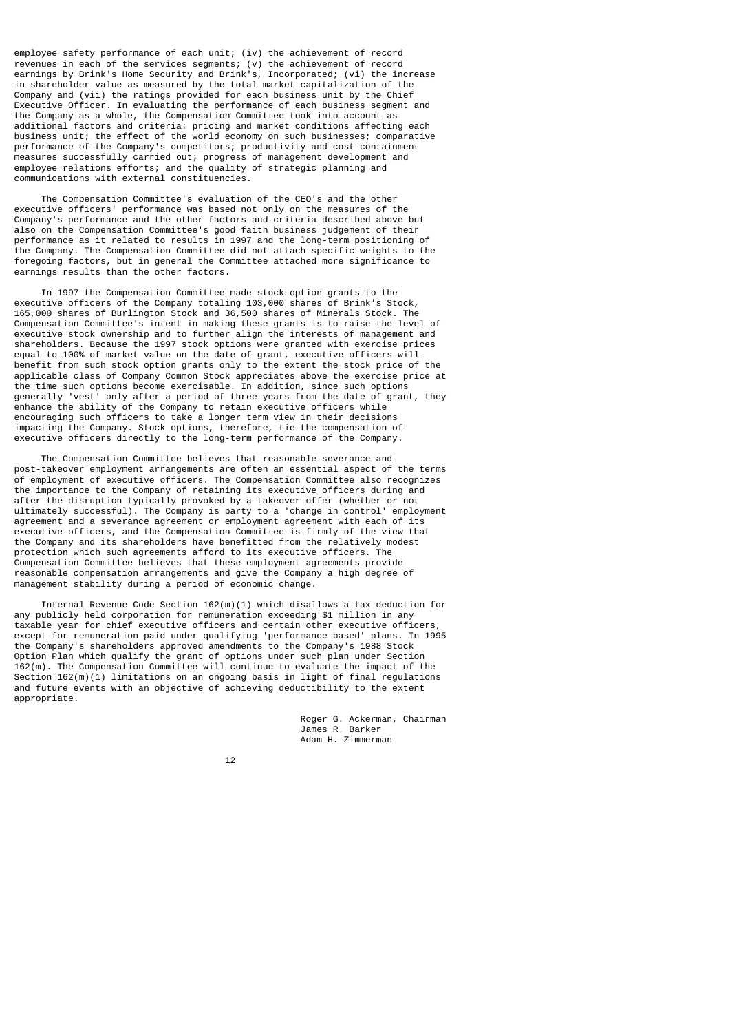employee safety performance of each unit; (iv) the achievement of record revenues in each of the services segments; (v) the achievement of record earnings by Brink's Home Security and Brink's, Incorporated; (vi) the increase in shareholder value as measured by the total market capitalization of the Company and (vii) the ratings provided for each business unit by the Chief Executive Officer. In evaluating the performance of each business segment and the Company as a whole, the Compensation Committee took into account as additional factors and criteria: pricing and market conditions affecting each business unit; the effect of the world economy on such businesses; comparative performance of the Company's competitors; productivity and cost containment measures successfully carried out; progress of management development and employee relations efforts; and the quality of strategic planning and communications with external constituencies.

 The Compensation Committee's evaluation of the CEO's and the other executive officers' performance was based not only on the measures of the Company's performance and the other factors and criteria described above but also on the Compensation Committee's good faith business judgement of their performance as it related to results in 1997 and the long-term positioning of the Company. The Compensation Committee did not attach specific weights to the foregoing factors, but in general the Committee attached more significance to earnings results than the other factors.

 In 1997 the Compensation Committee made stock option grants to the executive officers of the Company totaling 103,000 shares of Brink's Stock, 165,000 shares of Burlington Stock and 36,500 shares of Minerals Stock. The Compensation Committee's intent in making these grants is to raise the level of executive stock ownership and to further align the interests of management and shareholders. Because the 1997 stock options were granted with exercise prices equal to 100% of market value on the date of grant, executive officers will benefit from such stock option grants only to the extent the stock price of the applicable class of Company Common Stock appreciates above the exercise price at the time such options become exercisable. In addition, since such options generally 'vest' only after a period of three years from the date of grant, they enhance the ability of the Company to retain executive officers while encouraging such officers to take a longer term view in their decisions impacting the Company. Stock options, therefore, tie the compensation of executive officers directly to the long-term performance of the Company.

 The Compensation Committee believes that reasonable severance and post-takeover employment arrangements are often an essential aspect of the terms of employment of executive officers. The Compensation Committee also recognizes the importance to the Company of retaining its executive officers during and after the disruption typically provoked by a takeover offer (whether or not ultimately successful). The Company is party to a 'change in control' employment agreement and a severance agreement or employment agreement with each of its executive officers, and the Compensation Committee is firmly of the view that the Company and its shareholders have benefitted from the relatively modest protection which such agreements afford to its executive officers. The Compensation Committee believes that these employment agreements provide reasonable compensation arrangements and give the Company a high degree of management stability during a period of economic change.

 Internal Revenue Code Section 162(m)(1) which disallows a tax deduction for any publicly held corporation for remuneration exceeding \$1 million in any taxable year for chief executive officers and certain other executive officers, except for remuneration paid under qualifying 'performance based' plans. In 1995 the Company's shareholders approved amendments to the Company's 1988 Stock Option Plan which qualify the grant of options under such plan under Section 162(m). The Compensation Committee will continue to evaluate the impact of the Section 162(m)(1) limitations on an ongoing basis in light of final regulations and future events with an objective of achieving deductibility to the extent appropriate.

> Roger G. Ackerman, Chairman James R. Barker Adam H. Zimmerman

12 and 12 and 12 and 12 and 12 and 12 and 12 and 12 and 12 and 12 and 12 and 12 and 12 and 12 and 12 and 12 an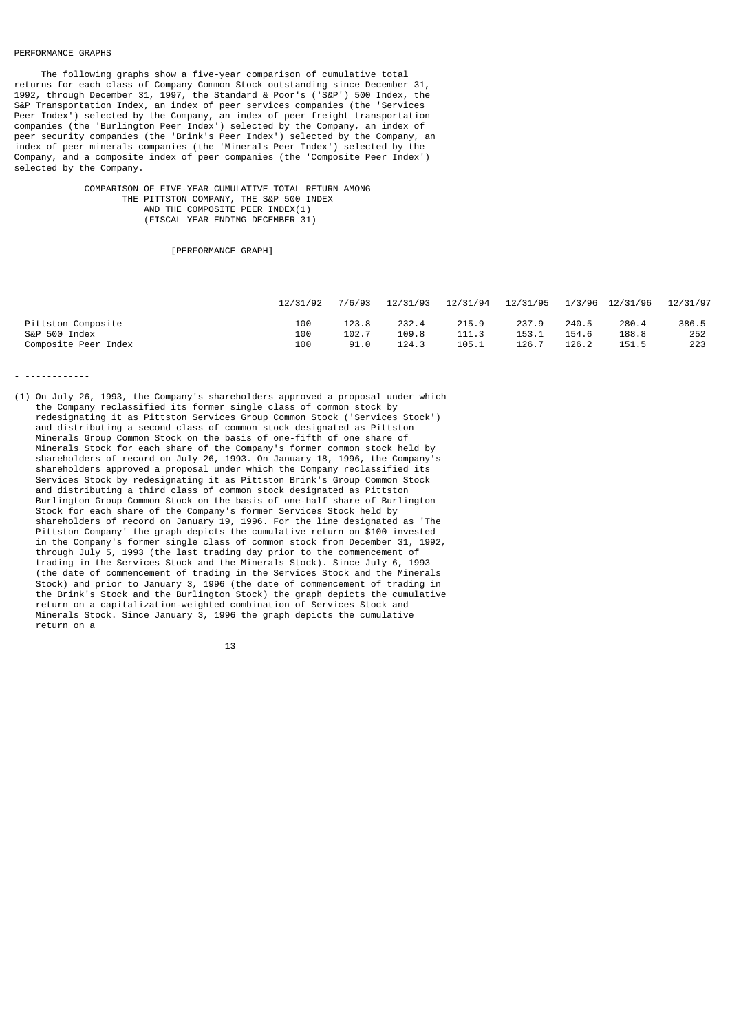## PERFORMANCE GRAPHS

 The following graphs show a five-year comparison of cumulative total returns for each class of Company Common Stock outstanding since December 31, 1992, through December 31, 1997, the Standard & Poor's ('S&P') 500 Index, the S&P Transportation Index, an index of peer services companies (the 'Services Peer Index') selected by the Company, an index of peer freight transportation companies (the 'Burlington Peer Index') selected by the Company, an index of peer security companies (the 'Brink's Peer Index') selected by the Company, an index of peer minerals companies (the 'Minerals Peer Index') selected by the Company, and a composite index of peer companies (the 'Composite Peer Index') selected by the Company.

 COMPARISON OF FIVE-YEAR CUMULATIVE TOTAL RETURN AMONG THE PITTSTON COMPANY, THE S&P 500 INDEX AND THE COMPOSITE PEER INDEX(1) (FISCAL YEAR ENDING DECEMBER 31)

[PERFORMANCE GRAPH]

|                      | 12/31/92 | 7/6/93 | 12/31/93 | 12/31/94 | 12/31/95 |       | 1/3/96 12/31/96 | 12/31/97 |
|----------------------|----------|--------|----------|----------|----------|-------|-----------------|----------|
| Pittston Composite   | 100      | 123.8  | 232.4    | 215.9    | 237.9    | 240.5 | 280.4           | 386.5    |
| S&P 500 Index        | 100      | 102.7  | 109.8    | 111.3    | 153.1    | 154.6 | 188.8           | 252      |
| Composite Peer Index | 100      | 91.0   | 124.3    | 105.1    | 126.7    | 126.2 | 151.5           | 223      |

- ------------

(1) On July 26, 1993, the Company's shareholders approved a proposal under which the Company reclassified its former single class of common stock by redesignating it as Pittston Services Group Common Stock ('Services Stock') and distributing a second class of common stock designated as Pittston Minerals Group Common Stock on the basis of one-fifth of one share of Minerals Stock for each share of the Company's former common stock held by shareholders of record on July 26, 1993. On January 18, 1996, the Company's shareholders approved a proposal under which the Company reclassified its Services Stock by redesignating it as Pittston Brink's Group Common Stock and distributing a third class of common stock designated as Pittston Burlington Group Common Stock on the basis of one-half share of Burlington Stock for each share of the Company's former Services Stock held by shareholders of record on January 19, 1996. For the line designated as 'The Pittston Company' the graph depicts the cumulative return on \$100 invested in the Company's former single class of common stock from December 31, 1992, through July 5, 1993 (the last trading day prior to the commencement of trading in the Services Stock and the Minerals Stock). Since July 6, 1993 (the date of commencement of trading in the Services Stock and the Minerals Stock) and prior to January 3, 1996 (the date of commencement of trading in the Brink's Stock and the Burlington Stock) the graph depicts the cumulative return on a capitalization-weighted combination of Services Stock and Minerals Stock. Since January 3, 1996 the graph depicts the cumulative return on a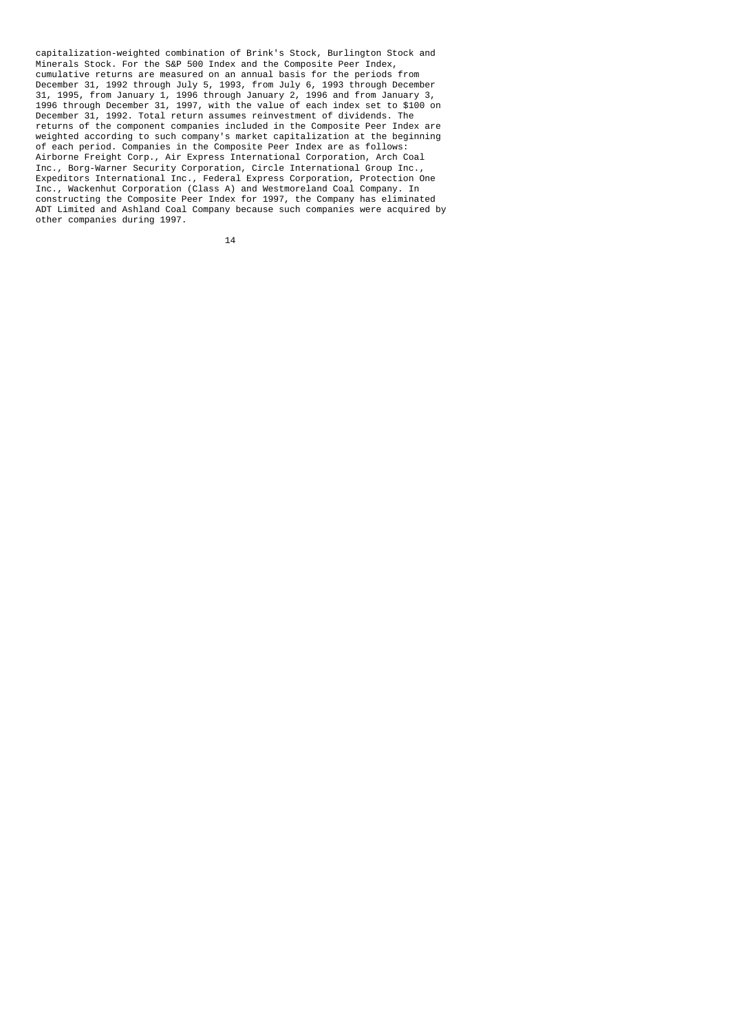capitalization-weighted combination of Brink's Stock, Burlington Stock and Minerals Stock. For the S&P 500 Index and the Composite Peer Index, cumulative returns are measured on an annual basis for the periods from December 31, 1992 through July 5, 1993, from July 6, 1993 through December 31, 1995, from January 1, 1996 through January 2, 1996 and from January 3, 1996 through December 31, 1997, with the value of each index set to \$100 on December 31, 1992. Total return assumes reinvestment of dividends. The returns of the component companies included in the Composite Peer Index are weighted according to such company's market capitalization at the beginning of each period. Companies in the Composite Peer Index are as follows: Airborne Freight Corp., Air Express International Corporation, Arch Coal Inc., Borg-Warner Security Corporation, Circle International Group Inc., Expeditors International Inc., Federal Express Corporation, Protection One Inc., Wackenhut Corporation (Class A) and Westmoreland Coal Company. In constructing the Composite Peer Index for 1997, the Company has eliminated ADT Limited and Ashland Coal Company because such companies were acquired by other companies during 1997.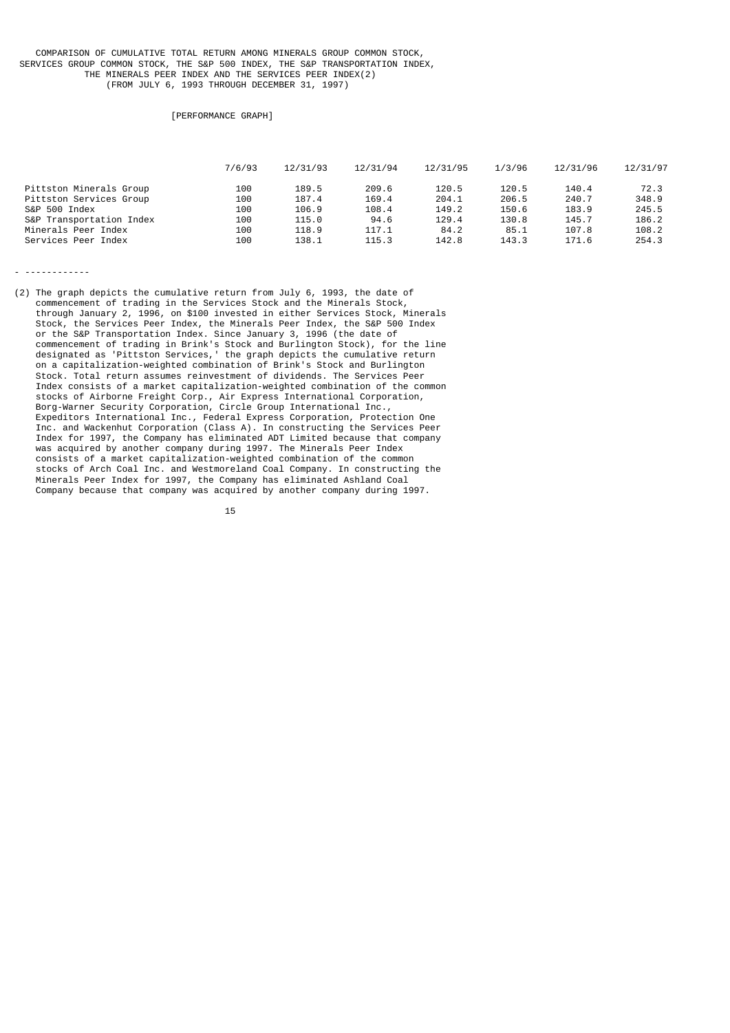# [PERFORMANCE GRAPH]

|                          | 7/6/93 | 12/31/93 | 12/31/94 | 12/31/95 | 1/3/96 | 12/31/96 | 12/31/97 |
|--------------------------|--------|----------|----------|----------|--------|----------|----------|
| Pittston Minerals Group  | 100    | 189.5    | 209.6    | 120.5    | 120.5  | 140.4    | 72.3     |
| Pittston Services Group  | 100    | 187.4    | 169.4    | 204.1    | 206.5  | 240.7    | 348.9    |
| S&P 500 Index            | 100    | 106.9    | 108.4    | 149.2    | 150.6  | 183.9    | 245.5    |
| S&P Transportation Index | 100    | 115.0    | 94.6     | 129.4    | 130.8  | 145.7    | 186.2    |
| Minerals Peer Index      | 100    | 118.9    | 117.1    | 84.2     | 85.1   | 107.8    | 108.2    |
| Services Peer Index      | 100    | 138.1    | 115.3    | 142.8    | 143.3  | 171.6    | 254.3    |

- ------------

(2) The graph depicts the cumulative return from July 6, 1993, the date of commencement of trading in the Services Stock and the Minerals Stock, through January 2, 1996, on \$100 invested in either Services Stock, Minerals Stock, the Services Peer Index, the Minerals Peer Index, the S&P 500 Index or the S&P Transportation Index. Since January 3, 1996 (the date of commencement of trading in Brink's Stock and Burlington Stock), for the line designated as 'Pittston Services,' the graph depicts the cumulative return on a capitalization-weighted combination of Brink's Stock and Burlington Stock. Total return assumes reinvestment of dividends. The Services Peer Index consists of a market capitalization-weighted combination of the common stocks of Airborne Freight Corp., Air Express International Corporation, Borg-Warner Security Corporation, Circle Group International Inc., Expeditors International Inc., Federal Express Corporation, Protection One Inc. and Wackenhut Corporation (Class A). In constructing the Services Peer Index for 1997, the Company has eliminated ADT Limited because that company was acquired by another company during 1997. The Minerals Peer Index consists of a market capitalization-weighted combination of the common stocks of Arch Coal Inc. and Westmoreland Coal Company. In constructing the Minerals Peer Index for 1997, the Company has eliminated Ashland Coal Company because that company was acquired by another company during 1997.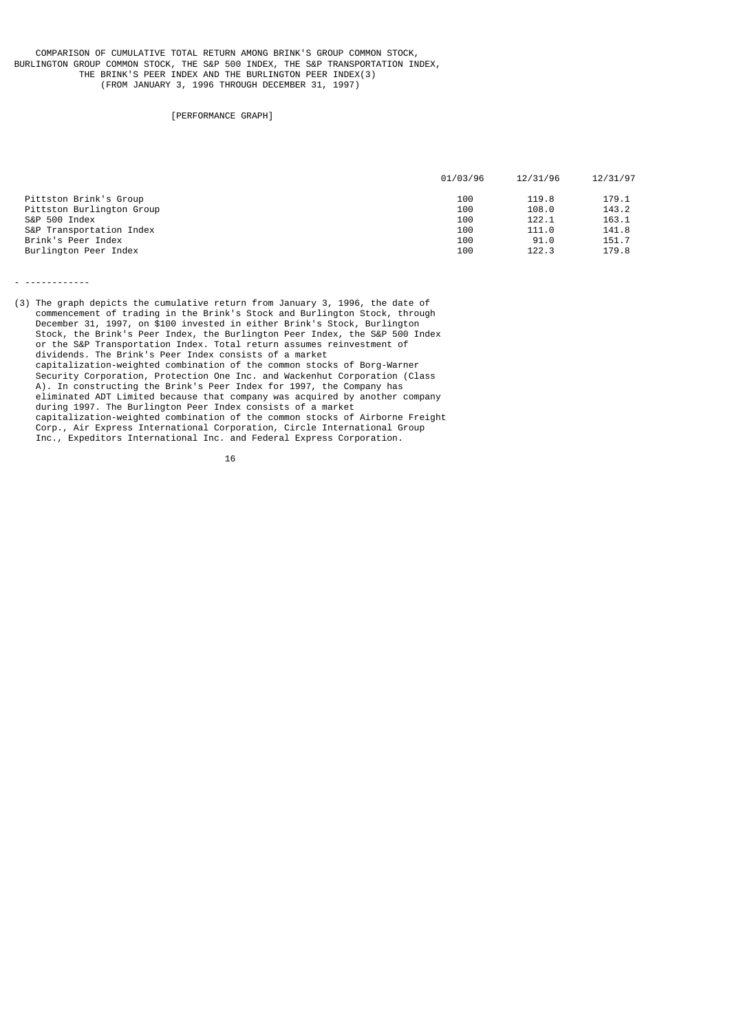# [PERFORMANCE GRAPH]

|                           | 01/03/96 | 12/31/96 | 12/31/97 |
|---------------------------|----------|----------|----------|
| Pittston Brink's Group    | 100      | 119.8    | 179.1    |
| Pittston Burlington Group | 100      | 108.0    | 143.2    |
| S&P 500 Index             | 100      | 122.1    | 163.1    |
| S&P Transportation Index  | 100      | 111.0    | 141.8    |
| Brink's Peer Index        | 100      | 91.0     | 151.7    |
| Burlington Peer Index     | 100      | 122.3    | 179.8    |

- ------------

(3) The graph depicts the cumulative return from January 3, 1996, the date of commencement of trading in the Brink's Stock and Burlington Stock, through December 31, 1997, on \$100 invested in either Brink's Stock, Burlington Stock, the Brink's Peer Index, the Burlington Peer Index, the S&P 500 Index or the S&P Transportation Index. Total return assumes reinvestment of dividends. The Brink's Peer Index consists of a market capitalization-weighted combination of the common stocks of Borg-Warner Security Corporation, Protection One Inc. and Wackenhut Corporation (Class A). In constructing the Brink's Peer Index for 1997, the Company has eliminated ADT Limited because that company was acquired by another company during 1997. The Burlington Peer Index consists of a market capitalization-weighted combination of the common stocks of Airborne Freight Corp., Air Express International Corporation, Circle International Group Inc., Expeditors International Inc. and Federal Express Corporation.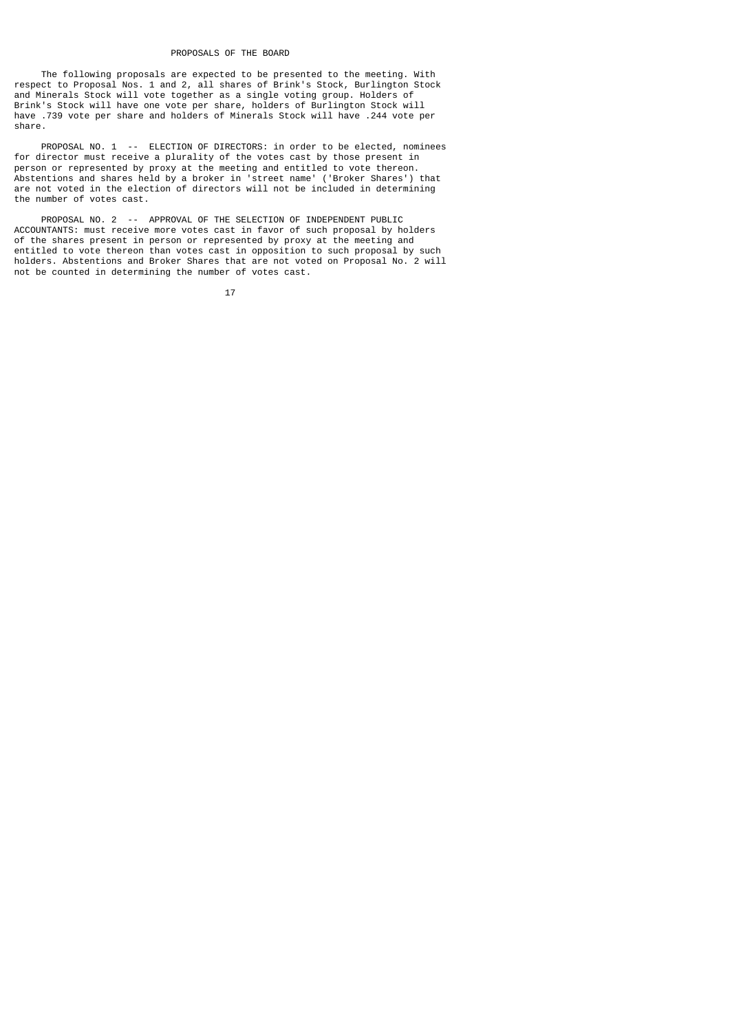## PROPOSALS OF THE BOARD

 The following proposals are expected to be presented to the meeting. With respect to Proposal Nos. 1 and 2, all shares of Brink's Stock, Burlington Stock and Minerals Stock will vote together as a single voting group. Holders of Brink's Stock will have one vote per share, holders of Burlington Stock will have .739 vote per share and holders of Minerals Stock will have .244 vote per share.

PROPOSAL NO. 1 -- ELECTION OF DIRECTORS: in order to be elected, nominees for director must receive a plurality of the votes cast by those present in person or represented by proxy at the meeting and entitled to vote thereon. Abstentions and shares held by a broker in 'street name' ('Broker Shares') that are not voted in the election of directors will not be included in determining the number of votes cast.

 PROPOSAL NO. 2 -- APPROVAL OF THE SELECTION OF INDEPENDENT PUBLIC ACCOUNTANTS: must receive more votes cast in favor of such proposal by holders of the shares present in person or represented by proxy at the meeting and entitled to vote thereon than votes cast in opposition to such proposal by such holders. Abstentions and Broker Shares that are not voted on Proposal No. 2 will not be counted in determining the number of votes cast.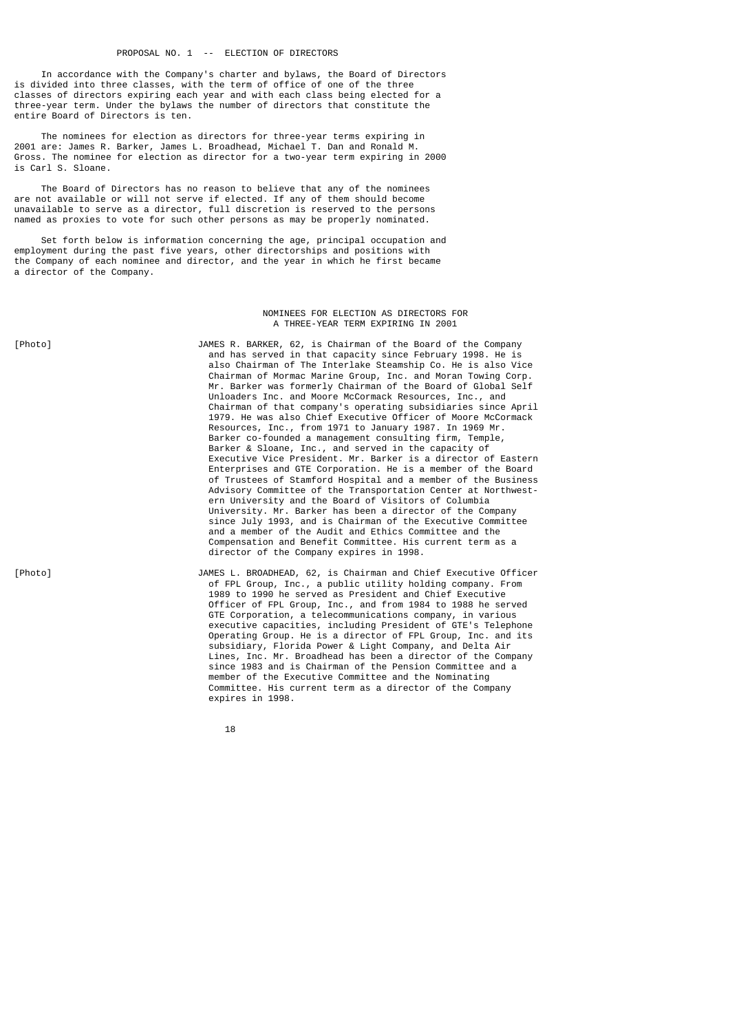In accordance with the Company's charter and bylaws, the Board of Directors is divided into three classes, with the term of office of one of the three classes of directors expiring each year and with each class being elected for a three-year term. Under the bylaws the number of directors that constitute the entire Board of Directors is ten.

 The nominees for election as directors for three-year terms expiring in 2001 are: James R. Barker, James L. Broadhead, Michael T. Dan and Ronald M. Gross. The nominee for election as director for a two-year term expiring in 2000 is Carl S. Sloane.

 The Board of Directors has no reason to believe that any of the nominees are not available or will not serve if elected. If any of them should become unavailable to serve as a director, full discretion is reserved to the persons named as proxies to vote for such other persons as may be properly nominated.

 Set forth below is information concerning the age, principal occupation and employment during the past five years, other directorships and positions with the Company of each nominee and director, and the year in which he first became a director of the Company.

### NOMINEES FOR ELECTION AS DIRECTORS FOR A THREE-YEAR TERM EXPIRING IN 2001

[Photo] JAMES R. BARKER, 62, is Chairman of the Board of the Company and has served in that capacity since February 1998. He is also Chairman of The Interlake Steamship Co. He is also Vice Chairman of Mormac Marine Group, Inc. and Moran Towing Corp. Mr. Barker was formerly Chairman of the Board of Global Self Unloaders Inc. and Moore McCormack Resources, Inc., and Chairman of that company's operating subsidiaries since April 1979. He was also Chief Executive Officer of Moore McCormack Resources, Inc., from 1971 to January 1987. In 1969 Mr. Barker co-founded a management consulting firm, Temple, Barker & Sloane, Inc., and served in the capacity of Executive Vice President. Mr. Barker is a director of Eastern Enterprises and GTE Corporation. He is a member of the Board of Trustees of Stamford Hospital and a member of the Business Advisory Committee of the Transportation Center at Northwest ern University and the Board of Visitors of Columbia University. Mr. Barker has been a director of the Company since July 1993, and is Chairman of the Executive Committee and a member of the Audit and Ethics Committee and the Compensation and Benefit Committee. His current term as a director of the Company expires in 1998.

[Photo] JAMES L. BROADHEAD, 62, is Chairman and Chief Executive Officer of FPL Group, Inc., a public utility holding company. From 1989 to 1990 he served as President and Chief Executive Officer of FPL Group, Inc., and from 1984 to 1988 he served GTE Corporation, a telecommunications company, in various executive capacities, including President of GTE's Telephone Operating Group. He is a director of FPL Group, Inc. and its subsidiary, Florida Power & Light Company, and Delta Air Lines, Inc. Mr. Broadhead has been a director of the Company since 1983 and is Chairman of the Pension Committee and a member of the Executive Committee and the Nominating Committee. His current term as a director of the Company expires in 1998.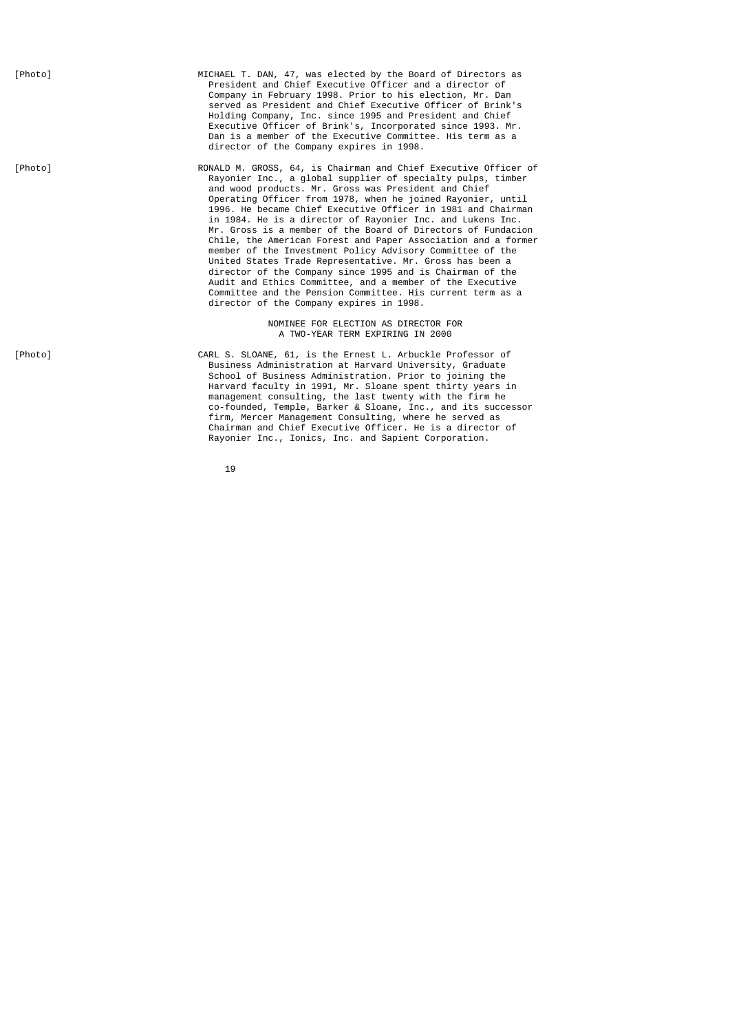[Photo]

- MICHAEL T. DAN, 47, was elected by the Board of Directors as President and Chief Executive Officer and a director of Company in February 1998. Prior to his election, Mr. Dan served as President and Chief Executive Officer of Brink's Holding Company, Inc. since 1995 and President and Chief Executive Officer of Brink's, Incorporated since 1993. Mr. Dan is a member of the Executive Committee. His term as a director of the Company expires in 1998.
- [Photo] RONALD M. GROSS, 64, is Chairman and Chief Executive Officer of Rayonier Inc., a global supplier of specialty pulps, timber and wood products. Mr. Gross was President and Chief Operating Officer from 1978, when he joined Rayonier, until 1996. He became Chief Executive Officer in 1981 and Chairman in 1984. He is a director of Rayonier Inc. and Lukens Inc. Mr. Gross is a member of the Board of Directors of Fundacion Chile, the American Forest and Paper Association and a former member of the Investment Policy Advisory Committee of the United States Trade Representative. Mr. Gross has been a director of the Company since 1995 and is Chairman of the Audit and Ethics Committee, and a member of the Executive Committee and the Pension Committee. His current term as a director of the Company expires in 1998.

## NOMINEE FOR ELECTION AS DIRECTOR FOR A TWO-YEAR TERM EXPIRING IN 2000

[Photo] CARL S. SLOANE, 61, is the Ernest L. Arbuckle Professor of Business Administration at Harvard University, Graduate School of Business Administration. Prior to joining the Harvard faculty in 1991, Mr. Sloane spent thirty years in management consulting, the last twenty with the firm he co-founded, Temple, Barker & Sloane, Inc., and its successor firm, Mercer Management Consulting, where he served as Chairman and Chief Executive Officer. He is a director of Rayonier Inc., Ionics, Inc. and Sapient Corporation.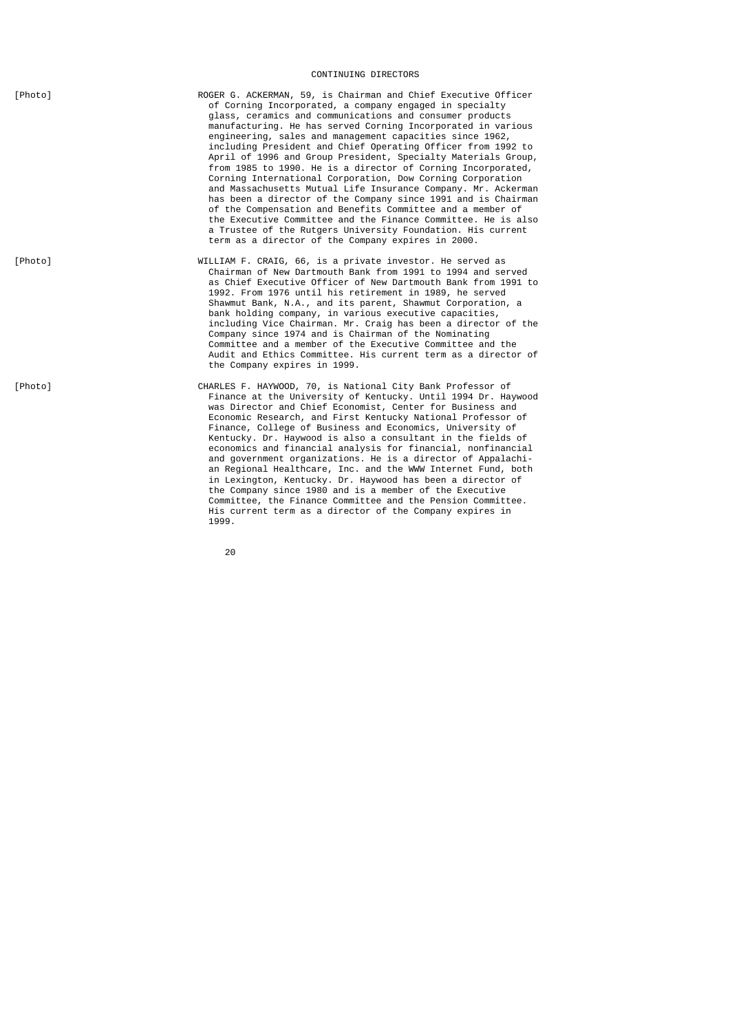# CONTINUING DIRECTORS

- [Photo] ROGER G. ACKERMAN, 59, is Chairman and Chief Executive Officer of Corning Incorporated, a company engaged in specialty glass, ceramics and communications and consumer products manufacturing. He has served Corning Incorporated in various engineering, sales and management capacities since 1962, including President and Chief Operating Officer from 1992 to April of 1996 and Group President, Specialty Materials Group, from 1985 to 1990. He is a director of Corning Incorporated, Corning International Corporation, Dow Corning Corporation and Massachusetts Mutual Life Insurance Company. Mr. Ackerman has been a director of the Company since 1991 and is Chairman of the Compensation and Benefits Committee and a member of the Executive Committee and the Finance Committee. He is also a Trustee of the Rutgers University Foundation. His current term as a director of the Company expires in 2000.
- [Photo] WILLIAM F. CRAIG, 66, is a private investor. He served as Chairman of New Dartmouth Bank from 1991 to 1994 and served as Chief Executive Officer of New Dartmouth Bank from 1991 to 1992. From 1976 until his retirement in 1989, he served Shawmut Bank, N.A., and its parent, Shawmut Corporation, a bank holding company, in various executive capacities, including Vice Chairman. Mr. Craig has been a director of the Company since 1974 and is Chairman of the Nominating Committee and a member of the Executive Committee and the Audit and Ethics Committee. His current term as a director of the Company expires in 1999.
- [Photo] CHARLES F. HAYWOOD, 70, is National City Bank Professor of Finance at the University of Kentucky. Until 1994 Dr. Haywood was Director and Chief Economist, Center for Business and Economic Research, and First Kentucky National Professor of Finance, College of Business and Economics, University of Kentucky. Dr. Haywood is also a consultant in the fields of economics and financial analysis for financial, nonfinancial and government organizations. He is a director of Appalachi an Regional Healthcare, Inc. and the WWW Internet Fund, both in Lexington, Kentucky. Dr. Haywood has been a director of the Company since 1980 and is a member of the Executive Committee, the Finance Committee and the Pension Committee. His current term as a director of the Company expires in  $1999.$

е процесс в политика в село в 1920 године в 1920 године в 1920 године в 1920 године в 1920 године в 1920 годин<br>В 1920 године в 1920 године в 1920 године в 1920 године в 1920 године в 1920 године в 1920 године в 1920 годин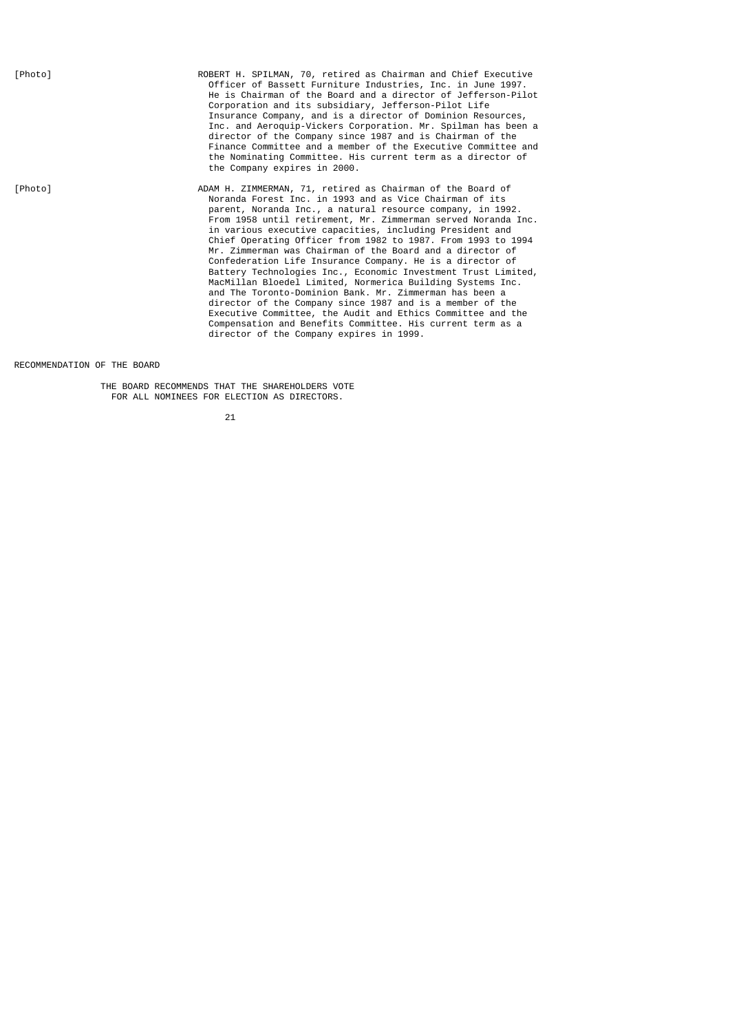[Photo]

- [Photo] ROBERT H. SPILMAN, 70, retired as Chairman and Chief Executive Officer of Bassett Furniture Industries, Inc. in June 1997. He is Chairman of the Board and a director of Jefferson-Pilot Corporation and its subsidiary, Jefferson-Pilot Life Insurance Company, and is a director of Dominion Resources, Inc. and Aeroquip-Vickers Corporation. Mr. Spilman has been a director of the Company since 1987 and is Chairman of the Finance Committee and a member of the Executive Committee and the Nominating Committee. His current term as a director of the Company expires in 2000.
- [Photo] ADAM H. ZIMMERMAN, 71, retired as Chairman of the Board of Noranda Forest Inc. in 1993 and as Vice Chairman of its parent, Noranda Inc., a natural resource company, in 1992. From 1958 until retirement, Mr. Zimmerman served Noranda Inc. in various executive capacities, including President and Chief Operating Officer from 1982 to 1987. From 1993 to 1994 Mr. Zimmerman was Chairman of the Board and a director of Confederation Life Insurance Company. He is a director of Battery Technologies Inc., Economic Investment Trust Limited, MacMillan Bloedel Limited, Normerica Building Systems Inc. and The Toronto-Dominion Bank. Mr. Zimmerman has been a director of the Company since 1987 and is a member of the Executive Committee, the Audit and Ethics Committee and the Compensation and Benefits Committee. His current term as a director of the Company expires in 1999.

## RECOMMENDATION OF THE BOARD

 THE BOARD RECOMMENDS THAT THE SHAREHOLDERS VOTE FOR ALL NOMINEES FOR ELECTION AS DIRECTORS.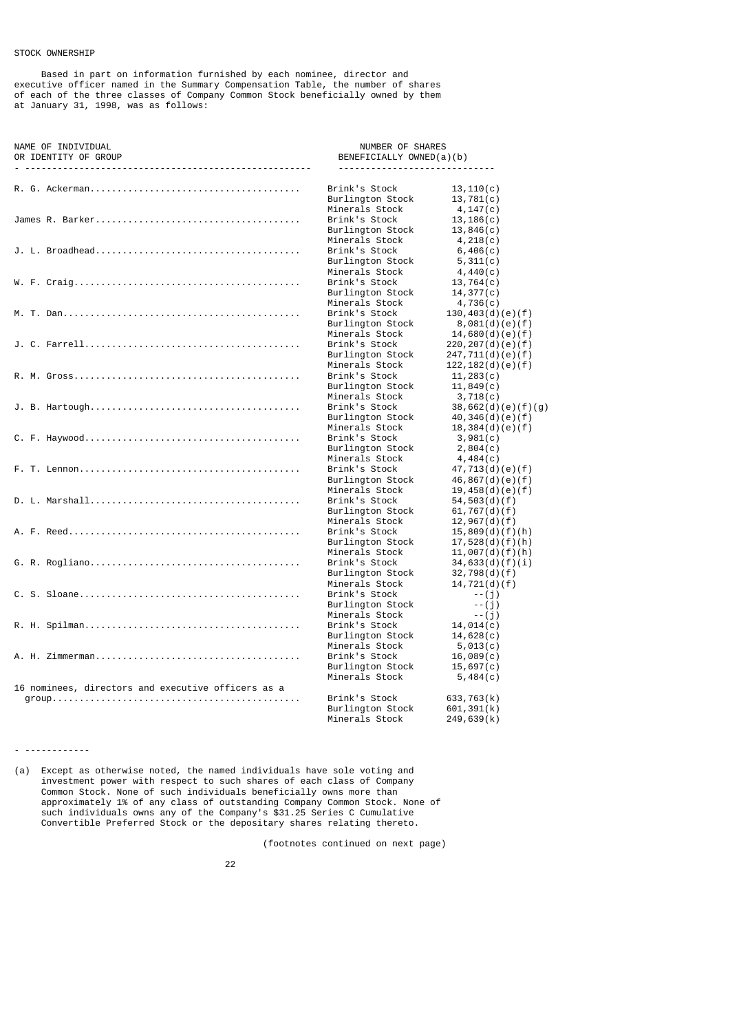Based in part on information furnished by each nominee, director and executive officer named in the Summary Compensation Table, the number of shares of each of the three classes of Company Common Stock beneficially owned by them at January 31, 1998, was as follows:

NAME OF INDIVIDUAL<br>OR IDENTITY OF GROUP CONTROL ON THE SENERGE BENEFICIALLY OWNED(a BENEFICIALLY OWNED(a)(b) - ----------------------------------------------------- ----------------------------- R. G. Ackerman....................................... Brink's Stock 13,110(c) Burlington Stock 13,781(c)<br>Minerals Stock 4,147(c) Minerals Stock  $4,147(c)$ <br>Brink's Stock  $13,186(c)$ James R. Barker...................................... Brink's Stock 13,186(c) Burlington Stock 13,846(c)<br>Minerals Stock 4,218(c) Minerals Stock  $\begin{array}{ccc} 4,218(c) \\ - & 4,206(c) \end{array}$ J. L. Broadhead...................................... Brink's Stock 6,406(c) Burlington Stock  $5,311(c)$ <br>Minerals Stock  $4,440(c)$ Minerals Stock  $4,440(c)$ <br>Brink's Stock  $13,764(c)$ W. F. Craig.......................................... Brink's Stock 13,764(c) Burlington Stock  $14,377(c)$ <br>Minerals Stock  $4,736(c)$ Minerals Stock  $\begin{array}{cc} 4,736(c) \\ 4,736(c) \end{array}$  Brink's Stock 130,403(d)(e)(f) M. T. Dan............................................ Brink's Stock 130,403(d)(e)(f)  $B(8,081(d)(e)(f))$ <br>14,680(d)(e)(f) Minerals Stock  $14,680(d)(e)(f)$ <br>Brink's Stock  $220,207(d)(e)(f)$ J. C. Farrell........................................ Brink's Stock 220,207(d)(e)(f) Burlington Stock<br>Minerals Stock Minerals Stock  $122,182(d)(e)(f)$ <br>Brink's Stock  $11,283(c)$ R. M. Gross.......................................... Brink's Stock 11,283(c) Burlington Stock  $11,849(c)$ <br>Minerals Stock  $3,718(c)$ Minerals Stock<br>Brink's Stock J. B. Hartough....................................... Brink's Stock 38,662(d)(e)(f)(g) Brink's Stock 38, 662(d)(e)(f)(g)<br>Burlington Stock 40, 346(d)(e)(f)<br>Minerals Stock 18, 384(d)(e)(f) Minerals Stock 18,384(d)(e)(f)<br>Brink's Stock 3,981(c) C. F. Haywood........................................ Brink's Stock 3,981(c) Burlington Stock 2,804(c)<br>Minerals Stock 4,484(c) Minerals Stock  $4,484(c)$ <br>Brink's Stock  $47,713(d)(e)(f)$ F. T. Lennon......................................... Brink's Stock 47,713(d)(e)(f) Burlington Stock  $46,867(d)(e)(f)$ <br>Minerals Stock  $19.458(d)(e)(f)$ Minerals Stock  $19,458(d)(e)(f)$ <br>Brink's Stock  $54,503(d)(f)$ D. L. Marshall....................................... Brink's Stock 54,503(d)(f)  $61,767(d)(f)$ <br>12.967(d)(f) Minerals Stock  $12,967(d)(f)$ <br>Brink's Stock  $15,809(d)(f)(h)$ A. F. Reed........................................... Brink's Stock 15,809(d)(f)(h) Burlington Stock  $17,528(d)(f)(h)$ <br>Minerals Stock  $11,007(d)(f)(h)$ Minerals Stock  $11,007(d)(f)(h)$ <br>Brink's Stock  $34,633(d)(f)(i)$ G. R. Rogliano....................................... Brink's Stock 34,633(d)(f)(i) Burlington Stock  $32,798(d)(f)$ <br>Minerals Stock  $14,721(d)(f)$ Minerals Stock 14,721(d)<br>Brink's Stock --(j) C. S. Sloane......................................... Brink's Stock --(j) Burlington Stock --(j)<br>Minerals Stock --(j) Minerals Stock --(j) R. H. Spilman........................................ Brink's Stock 14,014(c) Burlington Stock 14,628(c)<br>Minerals Stock 5,013(c) Minerals Stock 5,013(c)<br>Brink's Stock 16,089(c) A. H. Zimmerman...................................... Brink's Stock 16,089(c) Burlington Stock 15,697(c)<br>Minerals Stock 5,484(c) Minerals Stock 16 nominees, directors and executive officers as a group.............................................. Brink's Stock 633,763(k) Burlington Stock 601,391(k)<br>Minerals Stock 249,639(k) Minerals Stock

(a) Except as otherwise noted, the named individuals have sole voting and investment power with respect to such shares of each class of Company Common Stock. None of such individuals beneficially owns more than approximately 1% of any class of outstanding Company Common Stock. None of such individuals owns any of the Company's \$31.25 Series C Cumulative Convertible Preferred Stock or the depositary shares relating thereto.

(footnotes continued on next page)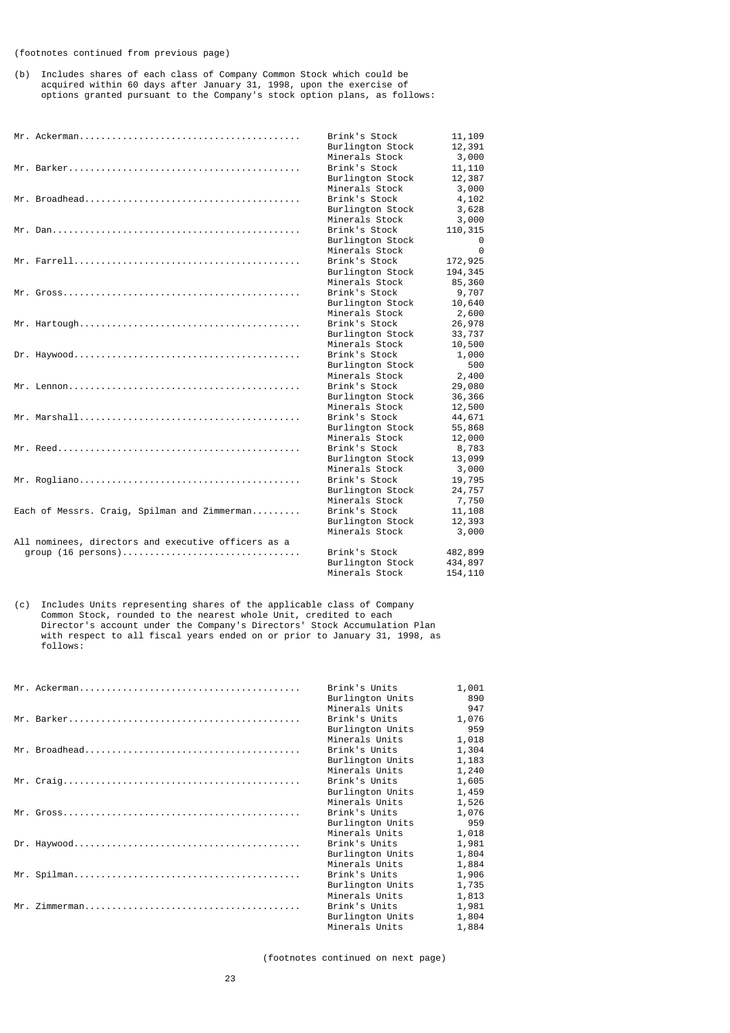# (footnotes continued from previous page)

(b) Includes shares of each class of Company Common Stock which could be acquired within 60 days after January 31, 1998, upon the exercise of options granted pursuant to the Company's stock option plans, as follows:

|                                                     | Brink's Stock    | 11,109                |
|-----------------------------------------------------|------------------|-----------------------|
|                                                     | Burlington Stock | 12,391                |
|                                                     | Minerals Stock   | 3,000                 |
|                                                     | Brink's Stock    | 11, 110               |
|                                                     | Burlington Stock | 12,387                |
|                                                     | Minerals Stock   | 3,000                 |
|                                                     | Brink's Stock    | 4,102                 |
|                                                     | Burlington Stock | 3,628                 |
|                                                     | Minerals Stock   | 3,000                 |
|                                                     | Brink's Stock    | 110, 315              |
|                                                     | Burlington Stock | - 0                   |
|                                                     | Minerals Stock   | $\boldsymbol{\Theta}$ |
| $Mr. Farrell$                                       | Brink's Stock    | 172,925               |
|                                                     | Burlington Stock | 194,345               |
|                                                     | Minerals Stock   | 85,360                |
|                                                     | Brink's Stock    | 9,707                 |
|                                                     | Burlington Stock | 10,640                |
|                                                     | Minerals Stock   | 2,600                 |
|                                                     | Brink's Stock    | 26,978                |
|                                                     | Burlington Stock | 33,737                |
|                                                     | Minerals Stock   | 10,500                |
|                                                     | Brink's Stock    | 1,000                 |
|                                                     | Burlington Stock | 500                   |
|                                                     | Minerals Stock   | 2,400                 |
|                                                     | Brink's Stock    | 29,080                |
|                                                     | Burlington Stock | 36,366                |
|                                                     | Minerals Stock   | 12,500                |
|                                                     | Brink's Stock    | 44,671                |
|                                                     | Burlington Stock | 55,868                |
|                                                     | Minerals Stock   | 12,000                |
| $Mr. \text{ Reed}$                                  | Brink's Stock    | 8,783                 |
|                                                     | Burlington Stock | 13,099                |
|                                                     | Minerals Stock   | 3,000                 |
|                                                     | Brink's Stock    | 19,795                |
|                                                     | Burlington Stock | 24,757                |
|                                                     | Minerals Stock   | 7,750                 |
| Each of Messrs. Craig, Spilman and Zimmerman        | Brink's Stock    | 11,108                |
|                                                     | Burlington Stock | 12,393                |
|                                                     | Minerals Stock   | 3,000                 |
| All nominees, directors and executive officers as a |                  |                       |
|                                                     | Brink's Stock    | 482,899               |
|                                                     | Burlington Stock | 434,897               |
|                                                     | Minerals Stock   | 154,110               |

(c) Includes Units representing shares of the applicable class of Company Common Stock, rounded to the nearest whole Unit, credited to each Director's account under the Company's Directors' Stock Accumulation Plan with respect to all fiscal years ended on or prior to January 31, 1998, as follows:

|  | Brink's Units    | 1,001 |
|--|------------------|-------|
|  | Burlington Units | 890   |
|  | Minerals Units   | 947   |
|  | Brink's Units    | 1,076 |
|  | Burlington Units | 959   |
|  | Minerals Units   | 1,018 |
|  | Brink's Units    | 1,304 |
|  | Burlington Units | 1,183 |
|  | Minerals Units   | 1,240 |
|  | Brink's Units    | 1,605 |
|  | Burlington Units | 1,459 |
|  | Minerals Units   | 1,526 |
|  | Brink's Units    | 1,076 |
|  | Burlington Units | 959   |
|  | Minerals Units   | 1,018 |
|  | Brink's Units    | 1,981 |
|  | Burlington Units | 1,804 |
|  | Minerals Units   | 1,884 |
|  | Brink's Units    | 1,906 |
|  | Burlington Units | 1,735 |
|  | Minerals Units   | 1,813 |
|  | Brink's Units    | 1,981 |
|  | Burlington Units | 1,804 |
|  | Minerals Units   | 1,884 |

(footnotes continued on next page)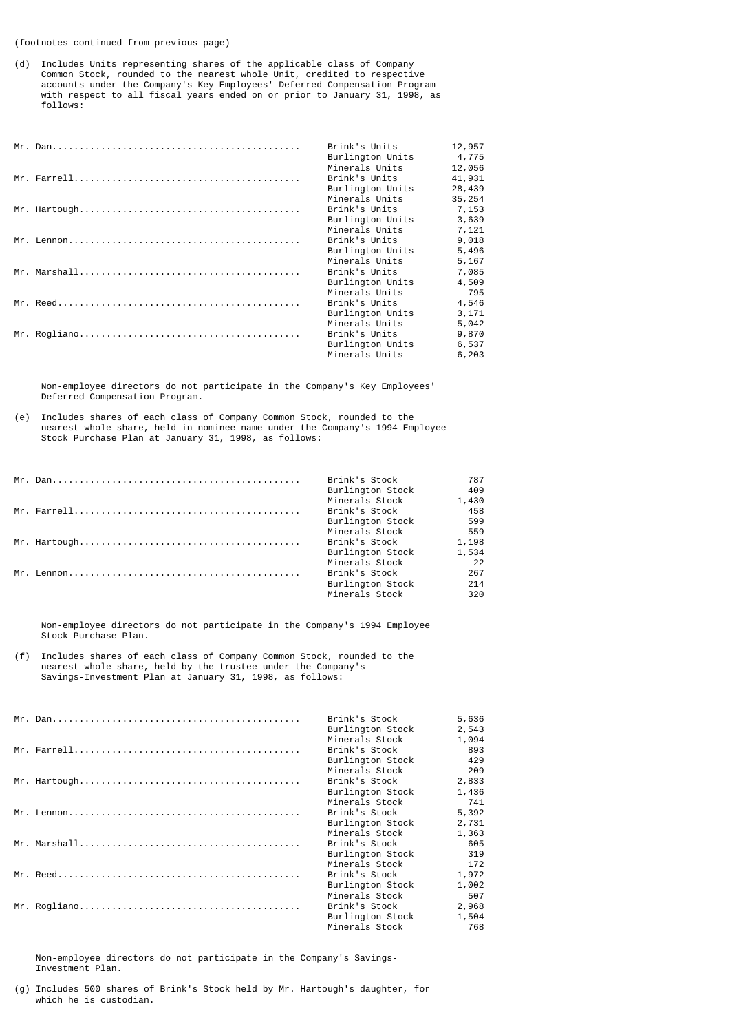(footnotes continued from previous page)

(d) Includes Units representing shares of the applicable class of Company Common Stock, rounded to the nearest whole Unit, credited to respective accounts under the Company's Key Employees' Deferred Compensation Program with respect to all fiscal years ended on or prior to January 31, 1998, as follows:

|  | Brink's Units<br>Burlington Units | 12,957<br>4,775  |
|--|-----------------------------------|------------------|
|  | Minerals Units<br>Brink's Units   | 12,056<br>41,931 |
|  | Burlington Units                  | 28,439           |
|  | Minerals Units                    | 35,254           |
|  |                                   |                  |
|  | Brink's Units                     | 7,153            |
|  | Burlington Units                  | 3,639            |
|  | Minerals Units                    | 7,121            |
|  | Brink's Units                     | 9,018            |
|  | Burlington Units                  | 5,496            |
|  | Minerals Units                    | 5,167            |
|  | Brink's Units                     | 7,085            |
|  | Burlington Units                  | 4,509            |
|  | Minerals Units                    | 795              |
|  | Brink's Units                     | 4,546            |
|  | Burlington Units                  | 3,171            |
|  | Minerals Units                    | 5,042            |
|  | Brink's Units                     | 9,870            |
|  | Burlington Units                  | 6,537            |
|  | Minerals Units                    | 6,203            |
|  |                                   |                  |

 Non-employee directors do not participate in the Company's Key Employees' Deferred Compensation Program.

(e) Includes shares of each class of Company Common Stock, rounded to the nearest whole share, held in nominee name under the Company's 1994 Employee Stock Purchase Plan at January 31, 1998, as follows:

|               | Brink's Stock    | 787   |
|---------------|------------------|-------|
|               | Burlington Stock | 409   |
|               | Minerals Stock   | 1,430 |
| $Mr. Farrell$ | Brink's Stock    | 458   |
|               | Burlington Stock | 599   |
|               | Minerals Stock   | 559   |
|               | Brink's Stock    | 1,198 |
|               | Burlington Stock | 1,534 |
|               | Minerals Stock   | 22    |
|               | Brink's Stock    | 267   |
|               | Burlington Stock | 214   |
|               | Minerals Stock   | 320   |

 Non-employee directors do not participate in the Company's 1994 Employee Stock Purchase Plan.

(f) Includes shares of each class of Company Common Stock, rounded to the nearest whole share, held by the trustee under the Company's Savings-Investment Plan at January 31, 1998, as follows:

|  | Brink's Stock    | 5,636 |
|--|------------------|-------|
|  | Burlington Stock | 2,543 |
|  | Minerals Stock   | 1,094 |
|  | Brink's Stock    | 893   |
|  | Burlington Stock | 429   |
|  | Minerals Stock   | 209   |
|  | Brink's Stock    | 2,833 |
|  | Burlington Stock | 1,436 |
|  | Minerals Stock   | 741   |
|  | Brink's Stock    | 5,392 |
|  | Burlington Stock | 2,731 |
|  | Minerals Stock   | 1,363 |
|  | Brink's Stock    | 605   |
|  | Burlington Stock | 319   |
|  | Minerals Stock   | 172   |
|  | Brink's Stock    | 1,972 |
|  | Burlington Stock | 1,002 |
|  | Minerals Stock   | 507   |
|  | Brink's Stock    | 2,968 |
|  | Burlington Stock | 1,504 |
|  | Minerals Stock   | 768   |

 Non-employee directors do not participate in the Company's Savings- Investment Plan.

(g) Includes 500 shares of Brink's Stock held by Mr. Hartough's daughter, for which he is custodian.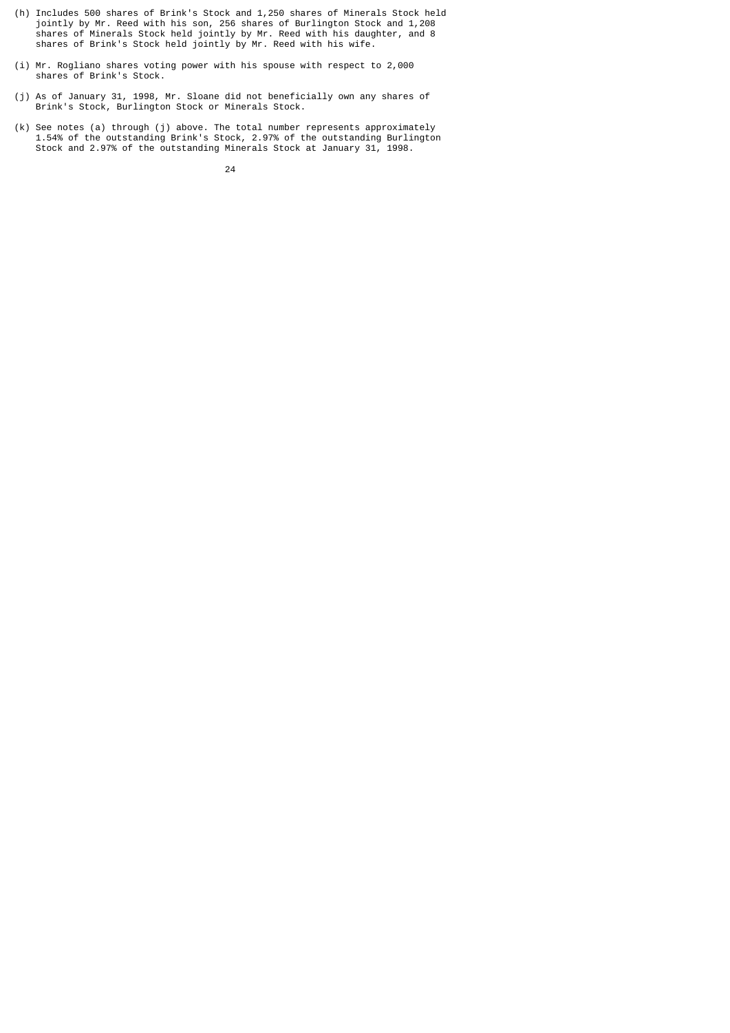- (h) Includes 500 shares of Brink's Stock and 1,250 shares of Minerals Stock held jointly by Mr. Reed with his son, 256 shares of Burlington Stock and 1,208 shares of Minerals Stock held jointly by Mr. Reed with his daughter, and 8 shares of Brink's Stock held jointly by Mr. Reed with his wife.
- (i) Mr. Rogliano shares voting power with his spouse with respect to 2,000 shares of Brink's Stock.
- (j) As of January 31, 1998, Mr. Sloane did not beneficially own any shares of Brink's Stock, Burlington Stock or Minerals Stock.
- (k) See notes (a) through (j) above. The total number represents approximately 1.54% of the outstanding Brink's Stock, 2.97% of the outstanding Burlington Stock and 2.97% of the outstanding Minerals Stock at January 31, 1998.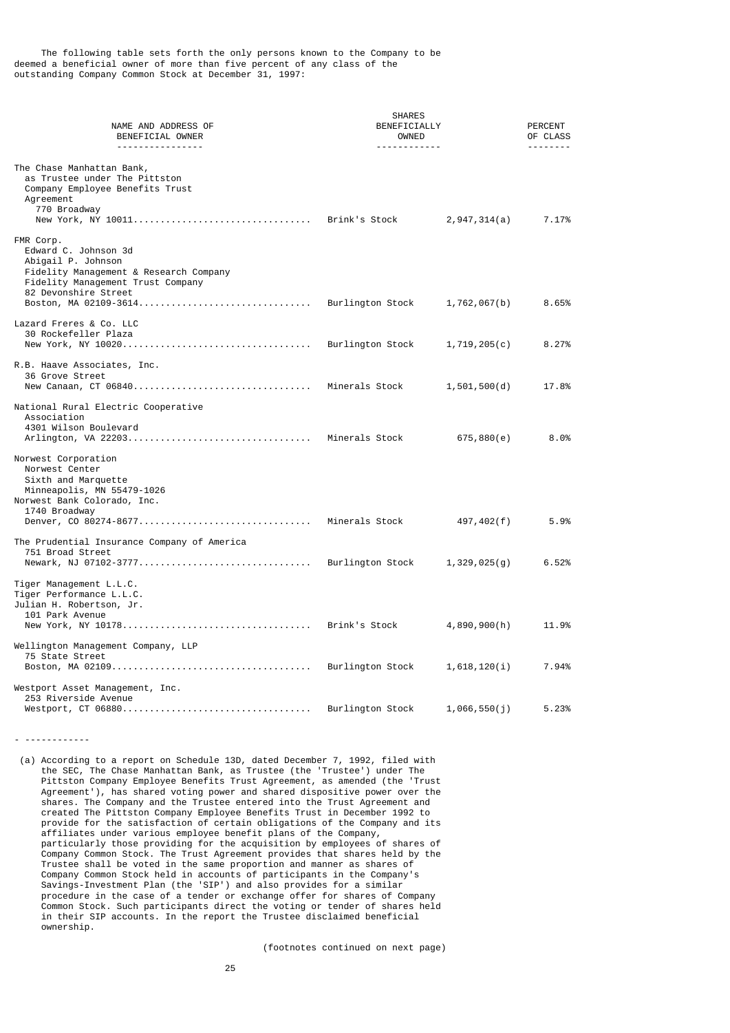The following table sets forth the only persons known to the Company to be deemed a beneficial owner of more than five percent of any class of the outstanding Company Common Stock at December 31, 1997:

|                                                                                                                                                                                         | <b>SHARES</b>         |              |                     |
|-----------------------------------------------------------------------------------------------------------------------------------------------------------------------------------------|-----------------------|--------------|---------------------|
| NAME AND ADDRESS OF                                                                                                                                                                     | BENEFICIALLY<br>OWNED |              | PERCENT<br>OF CLASS |
| BENEFICIAL OWNER<br><u>.</u>                                                                                                                                                            |                       |              |                     |
| The Chase Manhattan Bank,<br>as Trustee under The Pittston<br>Company Employee Benefits Trust<br>Agreement<br>770 Broadway                                                              |                       | 2,947,314(a) | 7.17%               |
| FMR Corp.<br>Edward C. Johnson 3d<br>Abigail P. Johnson<br>Fidelity Management & Research Company<br>Fidelity Management Trust Company<br>82 Devonshire Street<br>Boston, MA 02109-3614 | Burlington Stock      | 1,762,067(b) | 8.65%               |
| Lazard Freres & Co. LLC<br>30 Rockefeller Plaza                                                                                                                                         | Burlington Stock      | 1,719,205(c) | 8.27%               |
| R.B. Haave Associates, Inc.<br>36 Grove Street                                                                                                                                          | Minerals Stock        | 1,501,500(d) | 17.8%               |
| National Rural Electric Cooperative<br>Association<br>4301 Wilson Boulevard                                                                                                             |                       | 675,880(e)   | 8.0%                |
| Norwest Corporation<br>Norwest Center<br>Sixth and Marquette<br>Minneapolis, MN 55479-1026<br>Norwest Bank Colorado, Inc.<br>1740 Broadway                                              |                       | 497,402(f)   | 5.9%                |
| The Prudential Insurance Company of America<br>751 Broad Street<br>Newark, NJ 07102-3777                                                                                                | Burlington Stock      | 1,329,025(g) | 6.52%               |
| Tiger Management L.L.C.<br>Tiger Performance L.L.C.<br>Julian H. Robertson, Jr.<br>101 Park Avenue                                                                                      | Brink's Stock         | 4,890,900(h) | 11.9%               |
| Wellington Management Company, LLP<br>75 State Street                                                                                                                                   | Burlington Stock      | 1,618,120(i) | 7.94%               |
| Westport Asset Management, Inc.<br>253 Riverside Avenue                                                                                                                                 | Burlington Stock      | 1,066,550(j) | 5.23%               |

- ------------

 (a) According to a report on Schedule 13D, dated December 7, 1992, filed with the SEC, The Chase Manhattan Bank, as Trustee (the 'Trustee') under The Pittston Company Employee Benefits Trust Agreement, as amended (the 'Trust Agreement'), has shared voting power and shared dispositive power over the shares. The Company and the Trustee entered into the Trust Agreement and created The Pittston Company Employee Benefits Trust in December 1992 to provide for the satisfaction of certain obligations of the Company and its affiliates under various employee benefit plans of the Company, particularly those providing for the acquisition by employees of shares of Company Common Stock. The Trust Agreement provides that shares held by the Trustee shall be voted in the same proportion and manner as shares of Company Common Stock held in accounts of participants in the Company's Savings-Investment Plan (the 'SIP') and also provides for a similar procedure in the case of a tender or exchange offer for shares of Company Common Stock. Such participants direct the voting or tender of shares held in their SIP accounts. In the report the Trustee disclaimed beneficial ownership.

(footnotes continued on next page)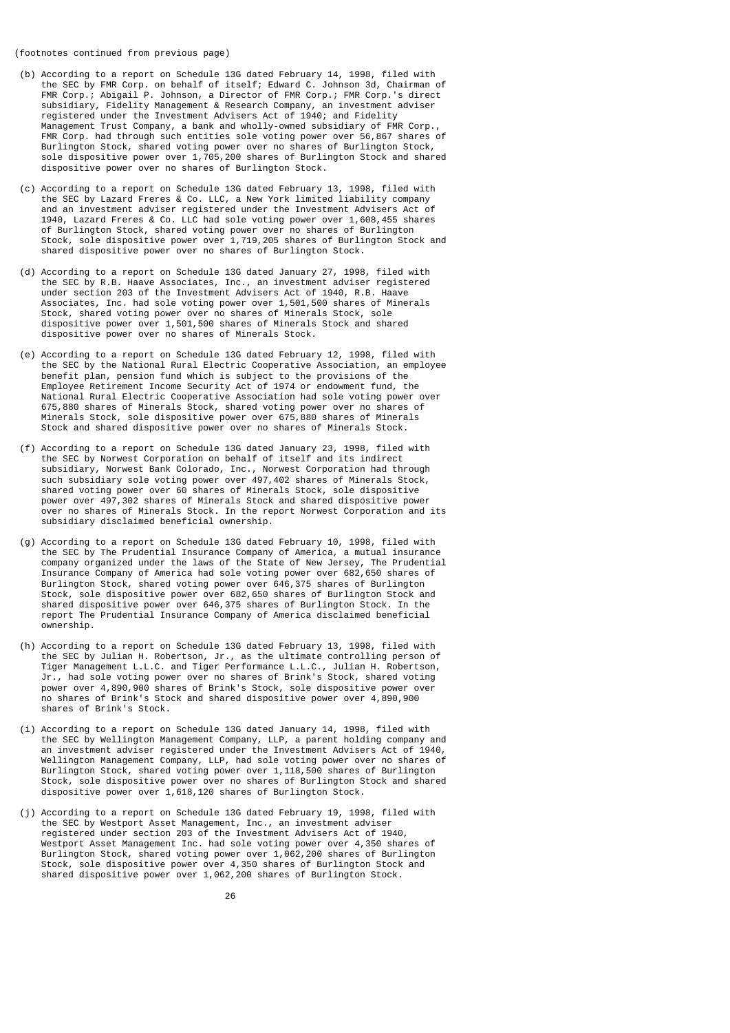(footnotes continued from previous page)

- (b) According to a report on Schedule 13G dated February 14, 1998, filed with the SEC by FMR Corp. on behalf of itself; Edward C. Johnson 3d, Chairman of FMR Corp.; Abigail P. Johnson, a Director of FMR Corp.; FMR Corp.'s direct subsidiary, Fidelity Management & Research Company, an investment adviser registered under the Investment Advisers Act of 1940; and Fidelity Management Trust Company, a bank and wholly-owned subsidiary of FMR Corp., FMR Corp. had through such entities sole voting power over 56,867 shares of Burlington Stock, shared voting power over no shares of Burlington Stock, sole dispositive power over 1,705,200 shares of Burlington Stock and shared dispositive power over no shares of Burlington Stock.
- (c) According to a report on Schedule 13G dated February 13, 1998, filed with the SEC by Lazard Freres & Co. LLC, a New York limited liability company and an investment adviser registered under the Investment Advisers Act of 1940, Lazard Freres & Co. LLC had sole voting power over 1,608,455 shares of Burlington Stock, shared voting power over no shares of Burlington Stock, sole dispositive power over 1,719,205 shares of Burlington Stock and shared dispositive power over no shares of Burlington Stock.
- (d) According to a report on Schedule 13G dated January 27, 1998, filed with the SEC by R.B. Haave Associates, Inc., an investment adviser registered under section 203 of the Investment Advisers Act of 1940, R.B. Haave Associates, Inc. had sole voting power over 1,501,500 shares of Minerals Stock, shared voting power over no shares of Minerals Stock, sole dispositive power over 1,501,500 shares of Minerals Stock and shared dispositive power over no shares of Minerals Stock.
- (e) According to a report on Schedule 13G dated February 12, 1998, filed with the SEC by the National Rural Electric Cooperative Association, an employee benefit plan, pension fund which is subject to the provisions of the Employee Retirement Income Security Act of 1974 or endowment fund, the National Rural Electric Cooperative Association had sole voting power over 675,880 shares of Minerals Stock, shared voting power over no shares of Minerals Stock, sole dispositive power over 675,880 shares of Minerals Stock and shared dispositive power over no shares of Minerals Stock.
- (f) According to a report on Schedule 13G dated January 23, 1998, filed with the SEC by Norwest Corporation on behalf of itself and its indirect subsidiary, Norwest Bank Colorado, Inc., Norwest Corporation had through such subsidiary sole voting power over 497,402 shares of Minerals Stock, shared voting power over 60 shares of Minerals Stock, sole dispositive power over 497,302 shares of Minerals Stock and shared dispositive power over no shares of Minerals Stock. In the report Norwest Corporation and its subsidiary disclaimed beneficial ownership.
- (g) According to a report on Schedule 13G dated February 10, 1998, filed with the SEC by The Prudential Insurance Company of America, a mutual insurance company organized under the laws of the State of New Jersey, The Prudential Insurance Company of America had sole voting power over 682,650 shares of Burlington Stock, shared voting power over 646,375 shares of Burlington Stock, sole dispositive power over 682,650 shares of Burlington Stock and shared dispositive power over 646,375 shares of Burlington Stock. In the report The Prudential Insurance Company of America disclaimed beneficial ownership.
- (h) According to a report on Schedule 13G dated February 13, 1998, filed with the SEC by Julian H. Robertson, Jr., as the ultimate controlling person of Tiger Management L.L.C. and Tiger Performance L.L.C., Julian H. Robertson, Jr., had sole voting power over no shares of Brink's Stock, shared voting power over 4,890,900 shares of Brink's Stock, sole dispositive power over no shares of Brink's Stock and shared dispositive power over 4,890,900 shares of Brink's Stock.
- (i) According to a report on Schedule 13G dated January 14, 1998, filed with the SEC by Wellington Management Company, LLP, a parent holding company and an investment adviser registered under the Investment Advisers Act of 1940, Wellington Management Company, LLP, had sole voting power over no shares of Burlington Stock, shared voting power over 1,118,500 shares of Burlington Stock, sole dispositive power over no shares of Burlington Stock and shared dispositive power over 1,618,120 shares of Burlington Stock.
- (j) According to a report on Schedule 13G dated February 19, 1998, filed with the SEC by Westport Asset Management, Inc., an investment adviser registered under section 203 of the Investment Advisers Act of 1940, Westport Asset Management Inc. had sole voting power over 4,350 shares of Burlington Stock, shared voting power over 1,062,200 shares of Burlington Stock, sole dispositive power over 4,350 shares of Burlington Stock and shared dispositive power over 1,062,200 shares of Burlington Stock.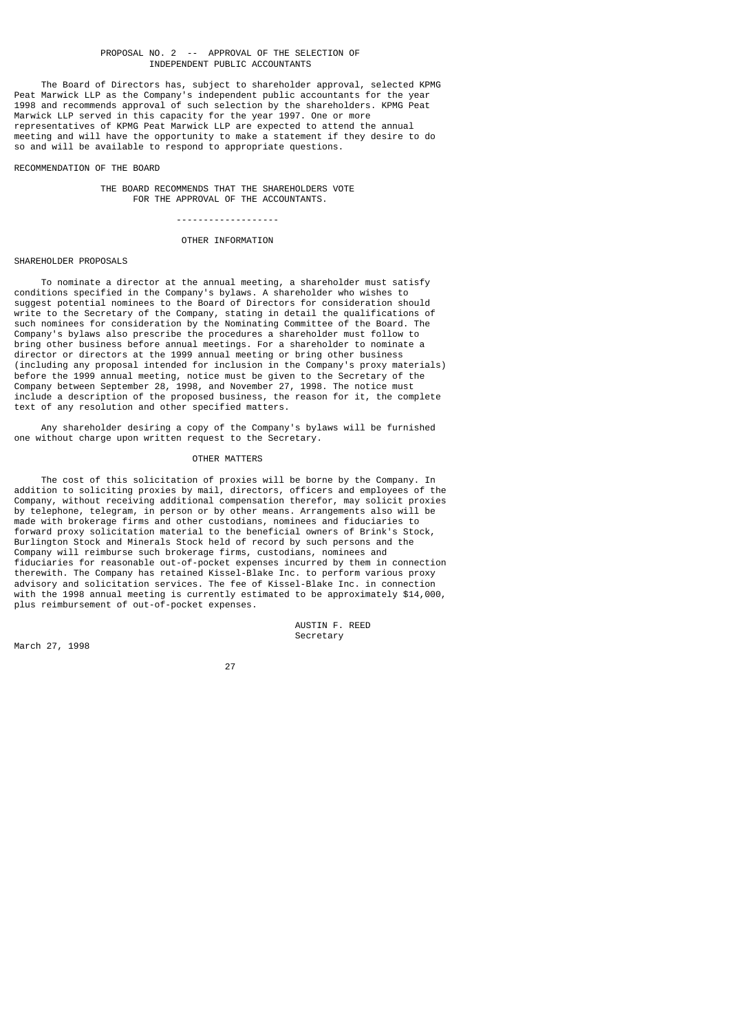## PROPOSAL NO. 2 -- APPROVAL OF THE SELECTION OF INDEPENDENT PUBLIC ACCOUNTANTS

 The Board of Directors has, subject to shareholder approval, selected KPMG Peat Marwick LLP as the Company's independent public accountants for the year 1998 and recommends approval of such selection by the shareholders. KPMG Peat Marwick LLP served in this capacity for the year 1997. One or more representatives of KPMG Peat Marwick LLP are expected to attend the annual meeting and will have the opportunity to make a statement if they desire to do so and will be available to respond to appropriate questions.

#### RECOMMENDATION OF THE BOARD

 THE BOARD RECOMMENDS THAT THE SHAREHOLDERS VOTE FOR THE APPROVAL OF THE ACCOUNTANTS.

### OTHER INFORMATION

### SHAREHOLDER PROPOSALS

 To nominate a director at the annual meeting, a shareholder must satisfy conditions specified in the Company's bylaws. A shareholder who wishes to suggest potential nominees to the Board of Directors for consideration should write to the Secretary of the Company, stating in detail the qualifications of such nominees for consideration by the Nominating Committee of the Board. The Company's bylaws also prescribe the procedures a shareholder must follow to bring other business before annual meetings. For a shareholder to nominate a director or directors at the 1999 annual meeting or bring other business (including any proposal intended for inclusion in the Company's proxy materials) before the 1999 annual meeting, notice must be given to the Secretary of the Company between September 28, 1998, and November 27, 1998. The notice must include a description of the proposed business, the reason for it, the complete text of any resolution and other specified matters.

 Any shareholder desiring a copy of the Company's bylaws will be furnished one without charge upon written request to the Secretary.

#### OTHER MATTERS

 The cost of this solicitation of proxies will be borne by the Company. In addition to soliciting proxies by mail, directors, officers and employees of the Company, without receiving additional compensation therefor, may solicit proxies by telephone, telegram, in person or by other means. Arrangements also will be made with brokerage firms and other custodians, nominees and fiduciaries to forward proxy solicitation material to the beneficial owners of Brink's Stock, Burlington Stock and Minerals Stock held of record by such persons and the Company will reimburse such brokerage firms, custodians, nominees and fiduciaries for reasonable out-of-pocket expenses incurred by them in connection therewith. The Company has retained Kissel-Blake Inc. to perform various proxy advisory and solicitation services. The fee of Kissel-Blake Inc. in connection with the 1998 annual meeting is currently estimated to be approximately \$14,000, nlus reimbursement of out-of-pocket expenses.

March 27, 1998

 AUSTIN F. REED Secretary

<u>27 and 27</u>